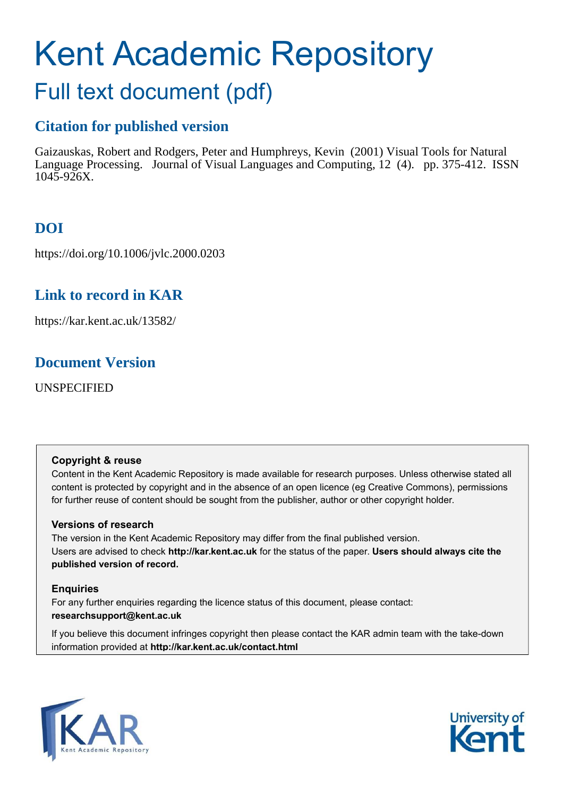# Kent Academic Repository

# Full text document (pdf)

# **Citation for published version**

Gaizauskas, Robert and Rodgers, Peter and Humphreys, Kevin (2001) Visual Tools for Natural Language Processing. Journal of Visual Languages and Computing, 12 (4). pp. 375-412. ISSN 1045-926X.

# **DOI**

https://doi.org/10.1006/jvlc.2000.0203

## **Link to record in KAR**

https://kar.kent.ac.uk/13582/

## **Document Version**

UNSPECIFIED

## **Copyright & reuse**

Content in the Kent Academic Repository is made available for research purposes. Unless otherwise stated all content is protected by copyright and in the absence of an open licence (eg Creative Commons), permissions for further reuse of content should be sought from the publisher, author or other copyright holder.

## **Versions of research**

The version in the Kent Academic Repository may differ from the final published version. Users are advised to check **http://kar.kent.ac.uk** for the status of the paper. **Users should always cite the published version of record.**

## **Enquiries**

For any further enquiries regarding the licence status of this document, please contact: **researchsupport@kent.ac.uk**

If you believe this document infringes copyright then please contact the KAR admin team with the take-down information provided at **http://kar.kent.ac.uk/contact.html**



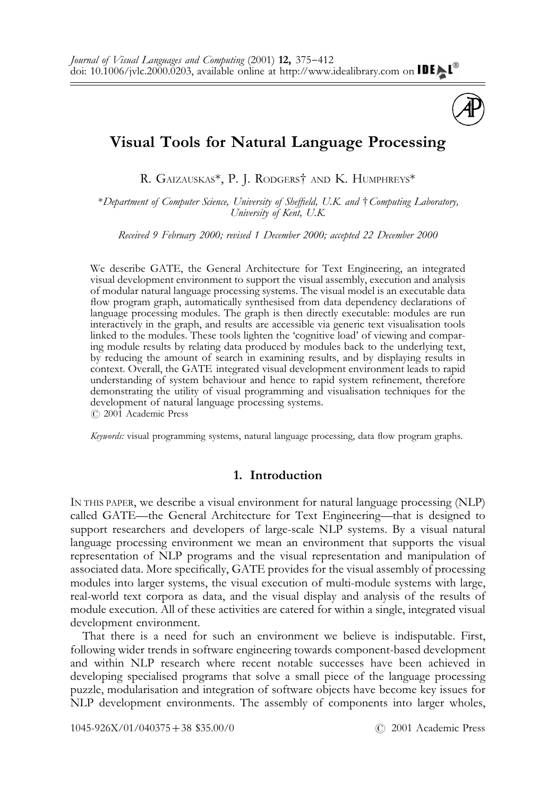## **Visual Tools for Natural Language Processing**

R. GAIZAUSKAS\*, P. J. RODGERS<sup>†</sup> AND K. HUMPHREYS<sup>\*</sup>

*\*Department of Computer Science, University of Sheffield, U.K. and* -*Computing Laboratory, University of Kent, U.K.*

*Received 9 February 2000; revised 1 December 2000; accepted 22 December 2000*

We describe GATE, the General Architecture for Text Engineering, an integrated visual development environment to support the visual assembly, execution and analysis of modular natural language processing systems. The visual model is an executable data flow program graph, automatically synthesised from data dependency declarations of language processing modules. The graph is then directly executable: modules are run interactively in the graph, and results are accessible via generic text visualisation tools linked to the modules. These tools lighten the 'cognitive load' of viewing and comparing module results by relating data produced by modules back to the underlying text, by reducing the amount of search in examining results, and by displaying results in context. Overall, the GATE integrated visual development environment leads to rapid understanding of system behaviour and hence to rapid system refinement, therefore demonstrating the utility of visual programming and visualisation techniques for the development of natural language processing systems. ( 2001 Academic Press

*Keywords:* visual programming systems, natural language processing, data flow program graphs.

#### **1. Introduction**

IN THIS PAPER, we describe a visual environment for natural language processing (NLP) called GATE—the General Architecture for Text Engineering—that is designed to support researchers and developers of large-scale NLP systems. By a visual natural language processing environment we mean an environment that supports the visual representation of NLP programs and the visual representation and manipulation of associated data. More specifically, GATE provides for the visual assembly of processing modules into larger systems, the visual execution of multi-module systems with large, real-world text corpora as data, and the visual display and analysis of the results of module execution. All of these activities are catered for within a single, integrated visual development environment.

That there is a need for such an environment we believe is indisputable. First, following wider trends in software engineering towards component-based development and within NLP research where recent notable successes have been achieved in developing specialised programs that solve a small piece of the language processing puzzle, modularisation and integration of software objects have become key issues for NLP development environments. The assembly of components into larger wholes,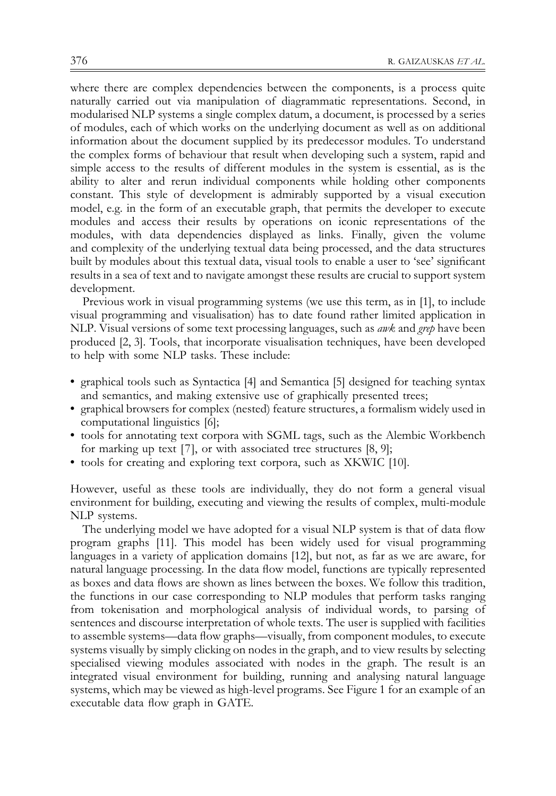<span id="page-2-0"></span>where there are complex dependencies between the components, is a process quite naturally carried out via manipulation of diagrammatic representations. Second, in modularised NLP systems a single complex datum, a document, is processed by a series of modules, each of which works on the underlying document as well as on additional information about the document supplied by its predecessor modules. To understand the complex forms of behaviour that result when developing such a system, rapid and simple access to the results of different modules in the system is essential, as is the ability to alter and rerun individual components while holding other components constant. This style of development is admirably supported by a visual execution model, e.g. in the form of an executable graph, that permits the developer to execute modules and access their results by operations on iconic representations of the modules, with data dependencies displayed as links. Finally, given the volume and complexity of the underlying textual data being processed, and the data structures built by modules about this textual data, visual tools to enable a user to 'see' significant results in a sea of text and to navigate amongst these results are crucial to support system development.

Previous work in visual programming systems (we use this term, as in [\[1\],](#page-35-0) to include visual programming and visualisation) has to date found rather limited application in NLP. Visual versions of some text processing languages, such as *awk* and *grep* have been produced [\[2,](#page-35-0) [3\].](#page-36-0) Tools, that incorporate visualisation techniques, have been developed to help with some NLP tasks. These include:

- graphical tools such as Syntactica [\[4\]](#page-36-0) and Semantica [\[5\]](#page-36-0) designed for teaching syntax and semantics, and making extensive use of graphically presented trees;
- graphical browsers for complex (nested) feature structures, a formalism widely used in computational linguistics [\[6\]](#page-36-0);
- tools for annotating text corpora with SGML tags, such as the Alembic Workbench for marking up text [\[7\],](#page-36-0) or with associated tree structures [\[8, 9\];](#page-36-0)
- tools for creating and exploring text corpora, such as XKWIC [\[10\]](#page-36-0).

However, useful as these tools are individually, they do not form a general visual environment for building, executing and viewing the results of complex, multi-module NLP systems.

The underlying model we have adopted for a visual NLP system is that of data flow program graphs [\[11\].](#page-36-0) This model has been widely used for visual programming languages in a variety of application domains [\[12\]](#page-36-0), but not, as far as we are aware, for natural language processing. In the data flow model, functions are typically represented as boxes and data flows are shown as lines between the boxes. We follow this tradition, the functions in our case corresponding to NLP modules that perform tasks ranging from tokenisation and morphological analysis of individual words, to parsing of sentences and discourse interpretation of whole texts. The user is supplied with facilities to assemble systems—data flow graphs—visually, from component modules, to execute systems visually by simply clicking on nodes in the graph, and to view results by selecting specialised viewing modules associated with nodes in the graph. The result is an integrated visual environment for building, running and analysing natural language systems, which may be viewed as high-level programs. See Figure 1 for an example of an executable data flow graph in GATE.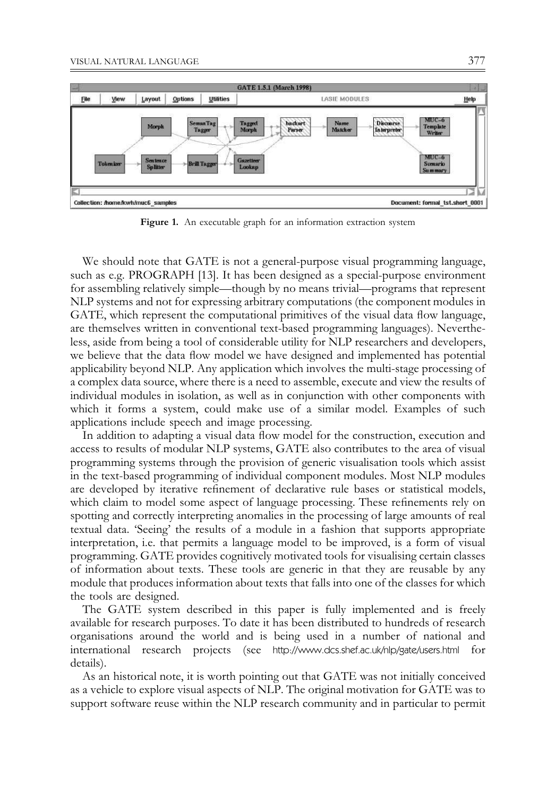<span id="page-3-0"></span>

|      |           |                                      |                |                                                   | GATE 1.5.1 (March 1998)                                                                                                                                                                                                 |      |
|------|-----------|--------------------------------------|----------------|---------------------------------------------------|-------------------------------------------------------------------------------------------------------------------------------------------------------------------------------------------------------------------------|------|
| Eile | View      | Layout                               | <b>Options</b> | Utilities                                         | LASIE MODULES                                                                                                                                                                                                           | Help |
|      | Tokenizer | Morph<br>Sentence<br><b>Splitter</b> |                | Seman Tag<br><b>Tagest</b><br><b>Brill Tagger</b> | $MIC-6$<br>Discourse.<br>hackset<br>Tagged<br><b>Name</b><br>Template<br><b>Morph</b><br><b>Matcher</b><br>Interpreter<br><b>Parser</b><br>Writer<br>$MUC-6$<br><b>Gazetter</b><br>Scenario<br>Lookap<br><b>Summary</b> |      |
|      |           |                                      |                |                                                   |                                                                                                                                                                                                                         |      |
|      |           | Collection: home/kwh/muc6_samples    |                |                                                   | Document: formal_tst.short_0001                                                                                                                                                                                         |      |

Figure 1. An executable graph for an information extraction system

We should note that GATE is not a general-purpose visual programming language, such as e.g. PROGRAPH [\[13\]](#page-36-0). It has been designed as a special-purpose environment for assembling relatively simple—though by no means trivial—programs that represent NLP systems and not for expressing arbitrary computations (the component modules in GATE, which represent the computational primitives of the visual data flow language, are themselves written in conventional text-based programming languages). Nevertheless, aside from being a tool of considerable utility for NLP researchers and developers, we believe that the data flow model we have designed and implemented has potential applicability beyond NLP. Any application which involves the multi-stage processing of a complex data source, where there is a need to assemble, execute and view the results of individual modules in isolation, as well as in conjunction with other components with which it forms a system, could make use of a similar model. Examples of such applications include speech and image processing.

In addition to adapting a visual data flow model for the construction, execution and access to results of modular NLP systems, GATE also contributes to the area of visual programming systems through the provision of generic visualisation tools which assist in the text-based programming of individual component modules. Most NLP modules are developed by iterative refinement of declarative rule bases or statistical models, which claim to model some aspect of language processing. These refinements rely on spotting and correctly interpreting anomalies in the processing of large amounts of real textual data. 'Seeing' the results of a module in a fashion that supports appropriate interpretation, i.e. that permits a language model to be improved, is a form of visual programming. GATE provides cognitively motivated tools for visualising certain classes of information about texts. These tools are generic in that they are reusable by any module that produces information about texts that falls into one of the classes for which the tools are designed.

The GATE system described in this paper is fully implemented and is freely available for research purposes. To date it has been distributed to hundreds of research organisations around the world and is being used in a number of national and international research projects (see http://www.dcs.shef.ac.uk/nlp/gate/users.html details).

As an historical note, it is worth pointing out that GATE was not initially conceived as a vehicle to explore visual aspects of NLP. The original motivation for GATE was to support software reuse within the NLP research community and in particular to permit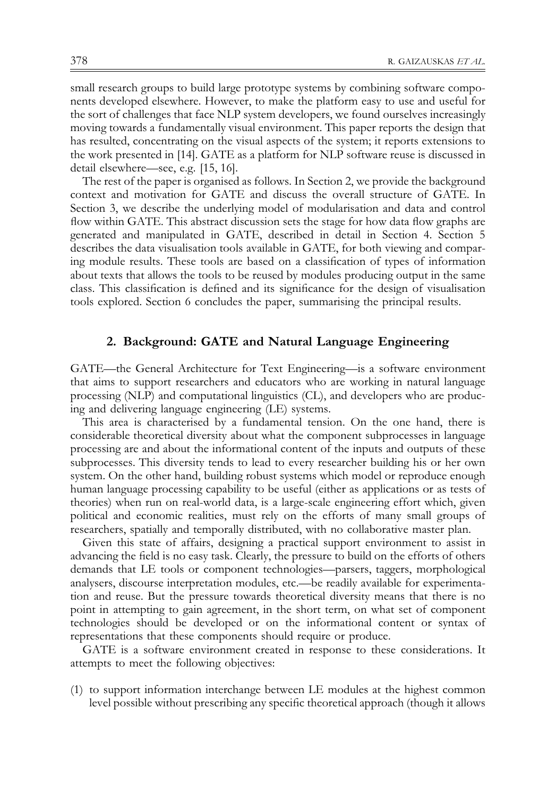<span id="page-4-0"></span>small research groups to build large prototype systems by combining software components developed elsewhere. However, to make the platform easy to use and useful for the sort of challenges that face NLP system developers, we found ourselves increasingly moving towards a fundamentally visual environment. This paper reports the design that has resulted, concentrating on the visual aspects of the system; it reports extensions to the work presented in [\[14\]](#page-36-0). GATE as a platform for NLP software reuse is discussed in detail elsewhere—see, e.g. [\[15, 16\].](#page-36-0)

The rest of the paper is organised as follows. In [Section 2,](#page-3-0) we provide the background context and motivation for GATE and discuss the overall structure of GATE. In [Section 3,](#page-7-0) we describe the underlying model of modularisation and data and control flow within GATE. This abstract discussion sets the stage for how data flow graphs are generated and manipulated in GATE, described in detail in [Section 4.](#page-15-0) [Section 5](#page-21-0) describes the data visualisation tools available in GATE, for both viewing and comparing module results. These tools are based on a classification of types of information about texts that allows the tools to be reused by modules producing output in the same class. This classification is defined and its significance for the design of visualisation tools explored. [Section 6 c](#page-34-0)oncludes the paper, summarising the principal results.

#### **2. Background: GATE and Natural Language Engineering**

GATE—the General Architecture for Text Engineering—is a software environment that aims to support researchers and educators who are working in natural language processing (NLP) and computational linguistics (CL), and developers who are producing and delivering language engineering (LE) systems.

This area is characterised by a fundamental tension. On the one hand, there is considerable theoretical diversity about what the component subprocesses in language processing are and about the informational content of the inputs and outputs of these subprocesses. This diversity tends to lead to every researcher building his or her own system. On the other hand, building robust systems which model or reproduce enough human language processing capability to be useful (either as applications or as tests of theories) when run on real-world data, is a large-scale engineering effort which, given political and economic realities, must rely on the efforts of many small groups of researchers, spatially and temporally distributed, with no collaborative master plan.

Given this state of affairs, designing a practical support environment to assist in advancing the field is no easy task. Clearly, the pressure to build on the efforts of others demands that LE tools or component technologies—parsers, taggers, morphological analysers, discourse interpretation modules, etc.—be readily available for experimentation and reuse. But the pressure towards theoretical diversity means that there is no point in attempting to gain agreement, in the short term, on what set of component technologies should be developed or on the informational content or syntax of representations that these components should require or produce.

GATE is a software environment created in response to these considerations. It attempts to meet the following objectives:

(1) to support information interchange between LE modules at the highest common level possible without prescribing any specific theoretical approach (though it allows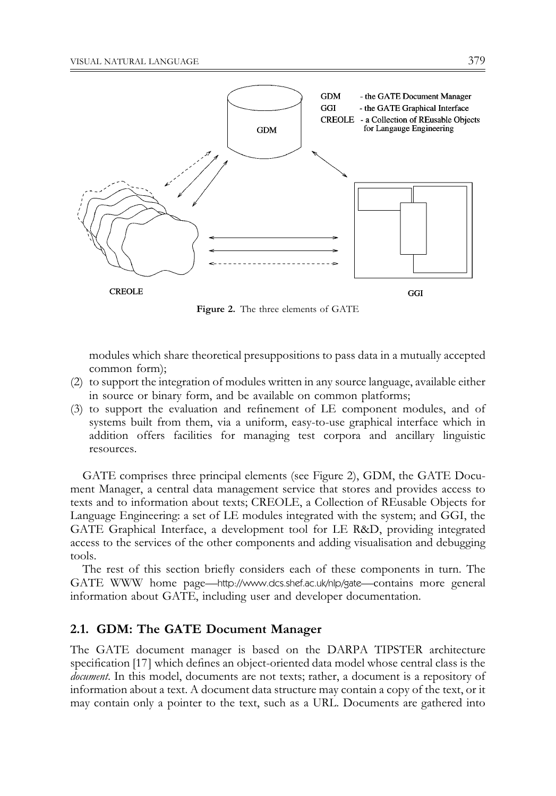<span id="page-5-0"></span>

**Figure 2.** The three elements of GATE

modules which share theoretical presuppositions to pass data in a mutually accepted common form);

- (2) to support the integration of modules written in any source language, available either in source or binary form, and be available on common platforms;
- (3) to support the evaluation and refinement of LE component modules, and of systems built from them, via a uniform, easy-to-use graphical interface which in addition offers facilities for managing test corpora and ancillary linguistic resources.

GATE comprises three principal elements (see [Figure 2\)](#page-4-0), GDM, the GATE Document Manager, a central data management service that stores and provides access to texts and to information about texts; CREOLE, a Collection of REusable Objects for Language Engineering: a set of LE modules integrated with the system; and GGI, the GATE Graphical Interface, a development tool for LE R&D, providing integrated access to the services of the other components and adding visualisation and debugging tools.

The rest of this section briefly considers each of these components in turn. The GATE WWW home page—http://www.dcs.shef.ac.uk/nlp/gate—contains more general information about GATE, including user and developer documentation.

#### **2.1. GDM: The GATE Document Manager**

The GATE document manager is based on the DARPA TIPSTER architecture specification [\[17\]](#page-36-0) which defines an object-oriented data model whose central class is the *document*. In this model, documents are not texts; rather, a document is a repository of information about a text. A document data structure may contain a copy of the text, or it may contain only a pointer to the text, such as a URL. Documents are gathered into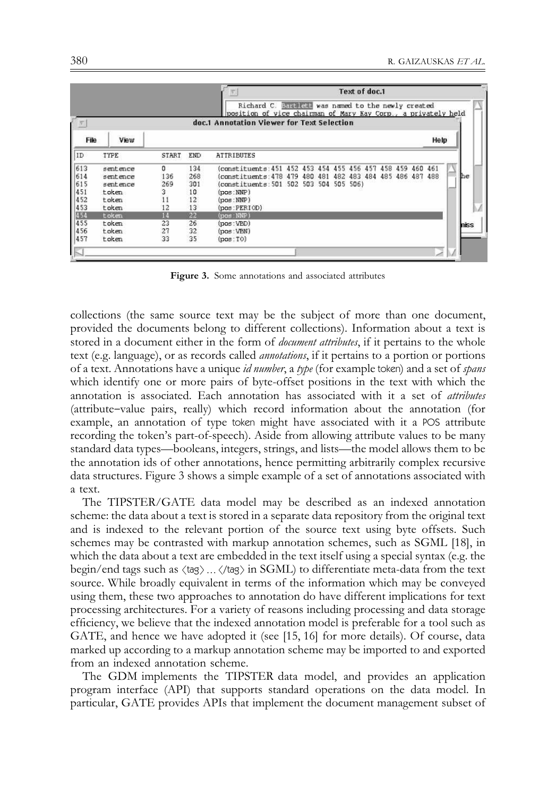|                                                                                               |          |              |            | <b>Text of doc.1</b>                                                                                                |      |
|-----------------------------------------------------------------------------------------------|----------|--------------|------------|---------------------------------------------------------------------------------------------------------------------|------|
|                                                                                               |          |              |            | Richard C. Barticle was named to the newly created<br>position of vice chairman of Mary Kay Corp., a privately held |      |
|                                                                                               |          |              |            | doc.1 Annotation Viewer for Text Selection                                                                          |      |
| File                                                                                          | View     |              |            | Help                                                                                                                |      |
| $\vert \vert$ ID                                                                              | TYPE     | <b>START</b> | <b>END</b> | <b>ATTRIBUTES</b>                                                                                                   |      |
| $\begin{array}{r} \hline 613 \\ 614 \\ 615 \\ 451 \\ 452 \\ \hline 453 \\ \hline \end{array}$ | sentence | 0            | 134        | (constituents: 451 452 453 454<br>455<br>456<br>457<br>458<br>459<br>460<br>461                                     |      |
|                                                                                               | sentence | 136          | 268        | (constituents: 478 479 480 481<br>482 483<br>484<br>485 486 487<br>488                                              | he   |
|                                                                                               | sentence | 269          | 301        | (constituents: 501 502 503 504 505<br>506)                                                                          |      |
|                                                                                               | token    | з            | 10         | (pos:MP)                                                                                                            |      |
|                                                                                               | token    | 11           | 12         | (pos:MP)                                                                                                            |      |
|                                                                                               | token    | 12           | 13         | (pos:PERIOD)                                                                                                        |      |
|                                                                                               | token    | TИ           | 22         | (pos NNP)                                                                                                           |      |
| 455                                                                                           | token    | 23           | 26         | (pos: VBD)                                                                                                          | niss |
| 456                                                                                           | token    | 27           | 32         | (pos: VBN)                                                                                                          |      |
| 457                                                                                           | token    | 33           | 35         | (pos:TO)                                                                                                            |      |
|                                                                                               |          |              |            |                                                                                                                     |      |
|                                                                                               |          |              |            |                                                                                                                     |      |

**Figure 3.** Some annotations and associated attributes

collections (the same source text may be the subject of more than one document, provided the documents belong to different collections). Information about a text is stored in a document either in the form of *document attributes*, if it pertains to the whole text (e.g. language), or as records called *annotations*, if it pertains to a portion or portions of a text. Annotations have a unique *id number*, a *type* (for example token) and a set of *spans* which identify one or more pairs of byte-offset positions in the text with which the annotation is associated. Each annotation has associated with it a set of *attributes* (attribute-value pairs, really) which record information about the annotation (for example, an annotation of type token might have associated with it a POS attribute recording the token's part-of-speech). Aside from allowing attribute values to be many standard data types—booleans, integers, strings, and lists—the model allows them to be the annotation ids of other annotations, hence permitting arbitrarily complex recursive data structures. [Figure 3](#page-5-0) shows a simple example of a set of annotations associated with a text.

The TIPSTER/GATE data model may be described as an indexed annotation scheme: the data about a text is stored in a separate data repository from the original text and is indexed to the relevant portion of the source text using byte offsets. Such schemes may be contrasted with markup annotation schemes, such as SGML [\[18\]](#page-36-0), in which the data about a text are embedded in the text itself using a special syntax (e.g. the begin/end tags such as  $\langle \text{tag} \rangle \dots \langle \text{tag} \rangle$  in SGML) to differentiate meta-data from the text source. While broadly equivalent in terms of the information which may be conveyed using them, these two approaches to annotation do have different implications for text processing architectures. For a variety of reasons including processing and data storage efficiency, we believe that the indexed annotation model is preferable for a tool such as GATE, and hence we have adopted it (see [\[15, 16\]](#page-36-0) for more details). Of course, data marked up according to a markup annotation scheme may be imported to and exported from an indexed annotation scheme.

The GDM implements the TIPSTER data model, and provides an application program interface (API) that supports standard operations on the data model. In particular, GATE provides APIs that implement the document management subset of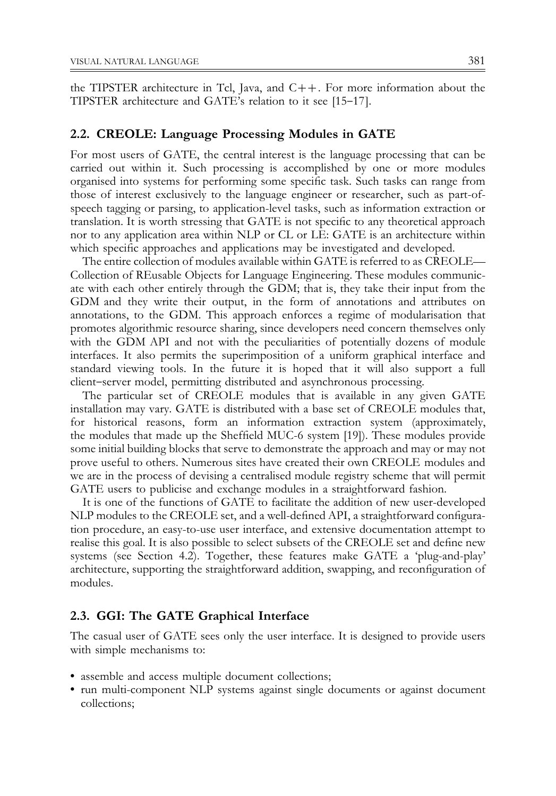<span id="page-7-0"></span>the TIPSTER architecture in Tcl, Java, and  $C++$ . For more information about the TIPSTER architecture and GATE's relation to it see  $[15-17]$ .

#### **2.2. CREOLE: Language Processing Modules in GATE**

For most users of GATE, the central interest is the language processing that can be carried out within it. Such processing is accomplished by one or more modules organised into systems for performing some specific task. Such tasks can range from those of interest exclusively to the language engineer or researcher, such as part-ofspeech tagging or parsing, to application-level tasks, such as information extraction or translation. It is worth stressing that GATE is not specific to any theoretical approach nor to any application area within NLP or CL or LE: GATE is an architecture within which specific approaches and applications may be investigated and developed.

The entire collection of modules available within GATE is referred to as CREOLE— Collection of REusable Objects for Language Engineering. These modules communicate with each other entirely through the GDM; that is, they take their input from the GDM and they write their output, in the form of annotations and attributes on annotations, to the GDM. This approach enforces a regime of modularisation that promotes algorithmic resource sharing, since developers need concern themselves only with the GDM API and not with the peculiarities of potentially dozens of module interfaces. It also permits the superimposition of a uniform graphical interface and standard viewing tools. In the future it is hoped that it will also support a full client-server model, permitting distributed and asynchronous processing.

The particular set of CREOLE modules that is available in any given GATE installation may vary. GATE is distributed with a base set of CREOLE modules that, for historical reasons, form an information extraction system (approximately, the modules that made up the Sheffield MUC-6 system [\[19\]\)](#page-36-0). These modules provide some initial building blocks that serve to demonstrate the approach and may or may not prove useful to others. Numerous sites have created their own CREOLE modules and we are in the process of devising a centralised module registry scheme that will permit GATE users to publicise and exchange modules in a straightforward fashion.

It is one of the functions of GATE to facilitate the addition of new user-developed NLP modules to the CREOLE set, and a well-defined API, a straightforward configuration procedure, an easy-to-use user interface, and extensive documentation attempt to realise this goal. It is also possible to select subsets of the CREOLE set and define new systems (see Section 4.2). Together, these features make GATE a 'plug-and-play' architecture, supporting the straightforward addition, swapping, and reconfiguration of modules.

#### **2.3. GGI: The GATE Graphical Interface**

The casual user of GATE sees only the user interface. It is designed to provide users with simple mechanisms to:

- assemble and access multiple document collections;
- run multi-component NLP systems against single documents or against document collections;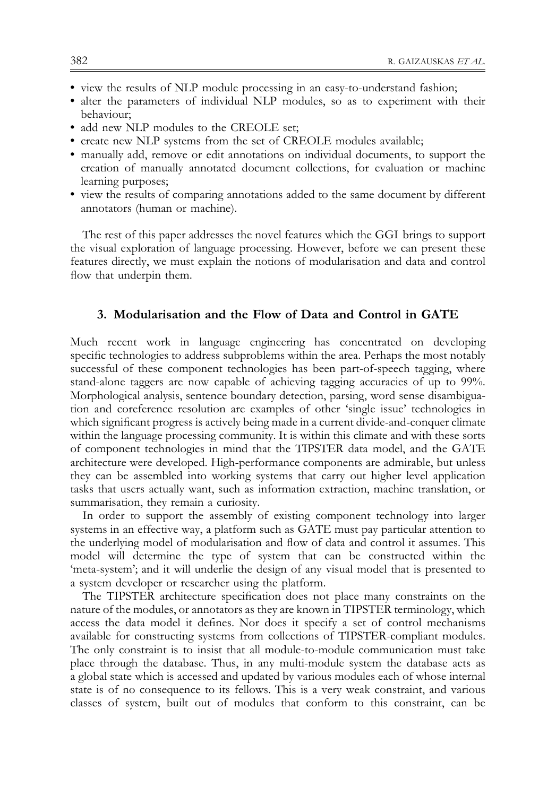- view the results of NLP module processing in an easy-to-understand fashion;
- alter the parameters of individual NLP modules, so as to experiment with their behaviour;
- add new NLP modules to the CREOLE set;
- create new NLP systems from the set of CREOLE modules available;
- manually add, remove or edit annotations on individual documents, to support the creation of manually annotated document collections, for evaluation or machine learning purposes;
- view the results of comparing annotations added to the same document by different annotators (human or machine).

The rest of this paper addresses the novel features which the GGI brings to support the visual exploration of language processing. However, before we can present these features directly, we must explain the notions of modularisation and data and control flow that underpin them.

#### **3. Modularisation and the Flow of Data and Control in GATE**

Much recent work in language engineering has concentrated on developing specific technologies to address subproblems within the area. Perhaps the most notably successful of these component technologies has been part-of-speech tagging, where stand-alone taggers are now capable of achieving tagging accuracies of up to 99%. Morphological analysis, sentence boundary detection, parsing, word sense disambiguation and coreference resolution are examples of other 'single issue' technologies in which significant progress is actively being made in a current divide-and-conquer climate within the language processing community. It is within this climate and with these sorts of component technologies in mind that the TIPSTER data model, and the GATE architecture were developed. High-performance components are admirable, but unless they can be assembled into working systems that carry out higher level application tasks that users actually want, such as information extraction, machine translation, or summarisation, they remain a curiosity.

In order to support the assembly of existing component technology into larger systems in an effective way, a platform such as GATE must pay particular attention to the underlying model of modularisation and flow of data and control it assumes. This model will determine the type of system that can be constructed within the 'meta-system'; and it will underlie the design of any visual model that is presented to a system developer or researcher using the platform.

The TIPSTER architecture specification does not place many constraints on the nature of the modules, or annotators as they are known in TIPSTER terminology, which access the data model it defines. Nor does it specify a set of control mechanisms available for constructing systems from collections of TIPSTER-compliant modules. The only constraint is to insist that all module-to-module communication must take place through the database. Thus, in any multi-module system the database acts as a global state which is accessed and updated by various modules each of whose internal state is of no consequence to its fellows. This is a very weak constraint, and various classes of system, built out of modules that conform to this constraint, can be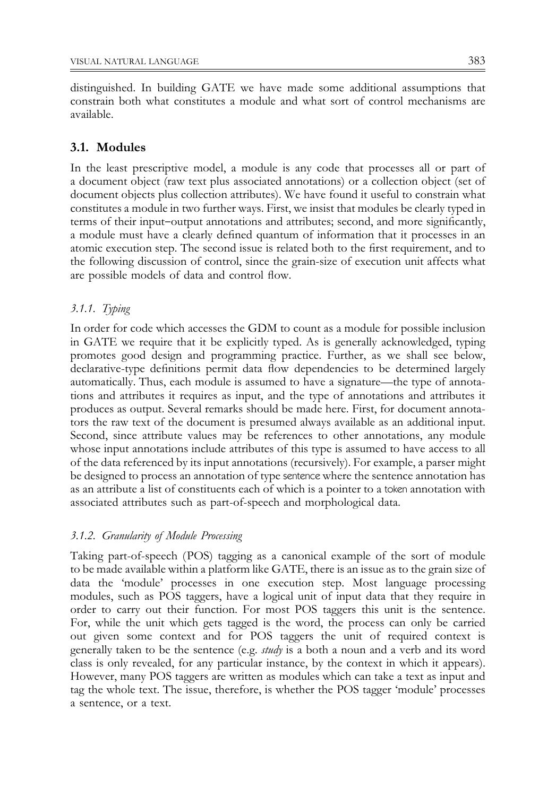distinguished. In building GATE we have made some additional assumptions that constrain both what constitutes a module and what sort of control mechanisms are available.

#### **3.1. Modules**

In the least prescriptive model, a module is any code that processes all or part of a document object (raw text plus associated annotations) or a collection object (set of document objects plus collection attributes). We have found it useful to constrain what constitutes a module in two further ways. First, we insist that modules be clearly typed in terms of their input-output annotations and attributes; second, and more significantly, a module must have a clearly defined quantum of information that it processes in an atomic execution step. The second issue is related both to the first requirement, and to the following discussion of control, since the grain-size of execution unit affects what are possible models of data and control flow.

#### *3.1.1. Typing*

In order for code which accesses the GDM to count as a module for possible inclusion in GATE we require that it be explicitly typed. As is generally acknowledged, typing promotes good design and programming practice. Further, as we shall see below, declarative-type definitions permit data flow dependencies to be determined largely automatically. Thus, each module is assumed to have a signature—the type of annotations and attributes it requires as input, and the type of annotations and attributes it produces as output. Several remarks should be made here. First, for document annotators the raw text of the document is presumed always available as an additional input. Second, since attribute values may be references to other annotations, any module whose input annotations include attributes of this type is assumed to have access to all of the data referenced by its input annotations (recursively). For example, a parser might be designed to process an annotation of type sentence where the sentence annotation has as an attribute a list of constituents each of which is a pointer to a token annotation with associated attributes such as part-of-speech and morphological data.

#### *3.1.2. Granularity of Module Processing*

Taking part-of-speech (POS) tagging as a canonical example of the sort of module to be made available within a platform like GATE, there is an issue as to the grain size of data the 'module' processes in one execution step. Most language processing modules, such as POS taggers, have a logical unit of input data that they require in order to carry out their function. For most POS taggers this unit is the sentence. For, while the unit which gets tagged is the word, the process can only be carried out given some context and for POS taggers the unit of required context is generally taken to be the sentence (e.g. *study* is a both a noun and a verb and its word class is only revealed, for any particular instance, by the context in which it appears). However, many POS taggers are written as modules which can take a text as input and tag the whole text. The issue, therefore, is whether the POS tagger 'module' processes a sentence, or a text.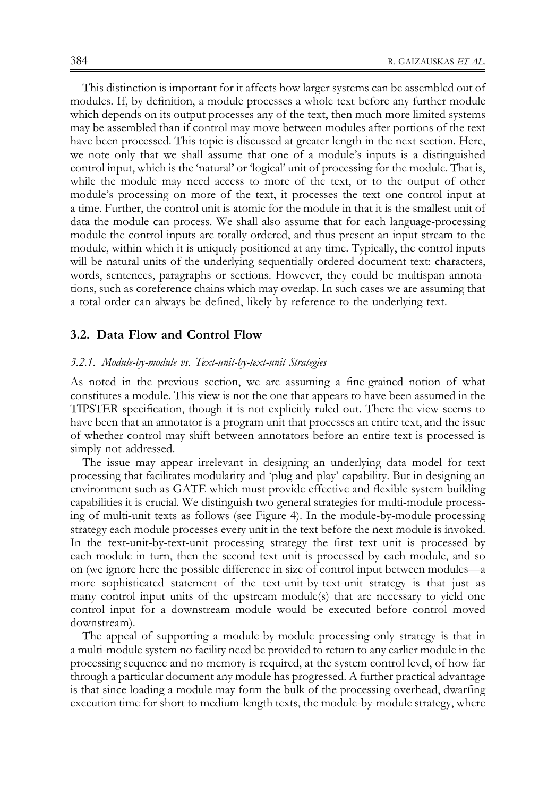This distinction is important for it affects how larger systems can be assembled out of modules. If, by definition, a module processes a whole text before any further module which depends on its output processes any of the text, then much more limited systems may be assembled than if control may move between modules after portions of the text have been processed. This topic is discussed at greater length in the next section. Here, we note only that we shall assume that one of a module's inputs is a distinguished control input, which is the 'natural' or 'logical' unit of processing for the module. That is, while the module may need access to more of the text, or to the output of other module's processing on more of the text, it processes the text one control input at a time. Further, the control unit is atomic for the module in that it is the smallest unit of data the module can process. We shall also assume that for each language-processing module the control inputs are totally ordered, and thus present an input stream to the module, within which it is uniquely positioned at any time. Typically, the control inputs will be natural units of the underlying sequentially ordered document text: characters, words, sentences, paragraphs or sections. However, they could be multispan annotations, such as coreference chains which may overlap. In such cases we are assuming that a total order can always be defined, likely by reference to the underlying text.

#### **3.2. Data Flow and Control Flow**

#### *3.2.1. Module-by-module vs. Text-unit-by-text-unit Strategies*

As noted in the previous section, we are assuming a fine-grained notion of what constitutes a module. This view is not the one that appears to have been assumed in the TIPSTER specification, though it is not explicitly ruled out. There the view seems to have been that an annotator is a program unit that processes an entire text, and the issue of whether control may shift between annotators before an entire text is processed is simply not addressed.

The issue may appear irrelevant in designing an underlying data model for text processing that facilitates modularity and 'plug and play' capability. But in designing an environment such as GATE which must provide effective and flexible system building capabilities it is crucial. We distinguish two general strategies for multi-module processing of multi-unit texts as follows (see Figure 4). In the module-by-module processing strategy each module processes every unit in the text before the next module is invoked. In the text-unit-by-text-unit processing strategy the first text unit is processed by each module in turn, then the second text unit is processed by each module, and so on (we ignore here the possible difference in size of control input between modules—a more sophisticated statement of the text-unit-by-text-unit strategy is that just as many control input units of the upstream module(s) that are necessary to yield one control input for a downstream module would be executed before control moved downstream).

The appeal of supporting a module-by-module processing only strategy is that in a multi-module system no facility need be provided to return to any earlier module in the processing sequence and no memory is required, at the system control level, of how far through a particular document any module has progressed. A further practical advantage is that since loading a module may form the bulk of the processing overhead, dwarfing execution time for short to medium-length texts, the module-by-module strategy, where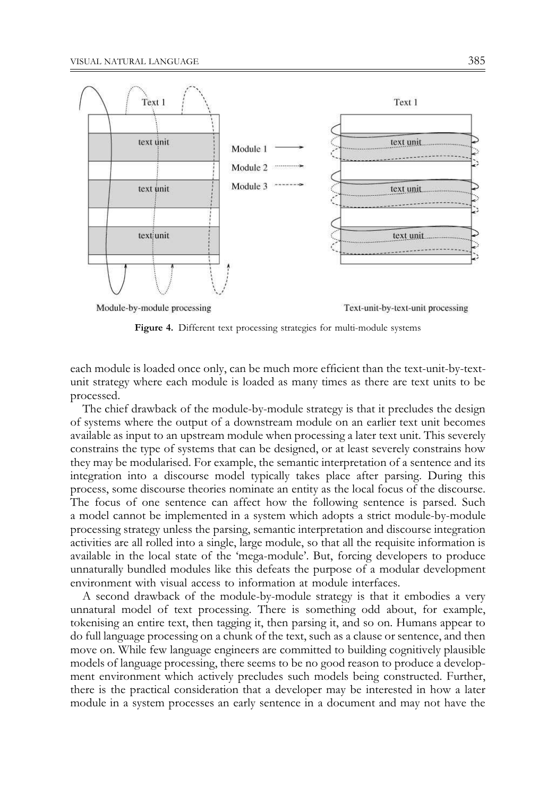

**Figure 4.** Different text processing strategies for multi-module systems

each module is loaded once only, can be much more efficient than the text-unit-by-textunit strategy where each module is loaded as many times as there are text units to be processed.

The chief drawback of the module-by-module strategy is that it precludes the design of systems where the output of a downstream module on an earlier text unit becomes available as input to an upstream module when processing a later text unit. This severely constrains the type of systems that can be designed, or at least severely constrains how they may be modularised. For example, the semantic interpretation of a sentence and its integration into a discourse model typically takes place after parsing. During this process, some discourse theories nominate an entity as the local focus of the discourse. The focus of one sentence can affect how the following sentence is parsed. Such a model cannot be implemented in a system which adopts a strict module-by-module processing strategy unless the parsing, semantic interpretation and discourse integration activities are all rolled into a single, large module, so that all the requisite information is available in the local state of the 'mega-module'. But, forcing developers to produce unnaturally bundled modules like this defeats the purpose of a modular development environment with visual access to information at module interfaces.

A second drawback of the module-by-module strategy is that it embodies a very unnatural model of text processing. There is something odd about, for example, tokenising an entire text, then tagging it, then parsing it, and so on. Humans appear to do full language processing on a chunk of the text, such as a clause or sentence, and then move on. While few language engineers are committed to building cognitively plausible models of language processing, there seems to be no good reason to produce a development environment which actively precludes such models being constructed. Further, there is the practical consideration that a developer may be interested in how a later module in a system processes an early sentence in a document and may not have the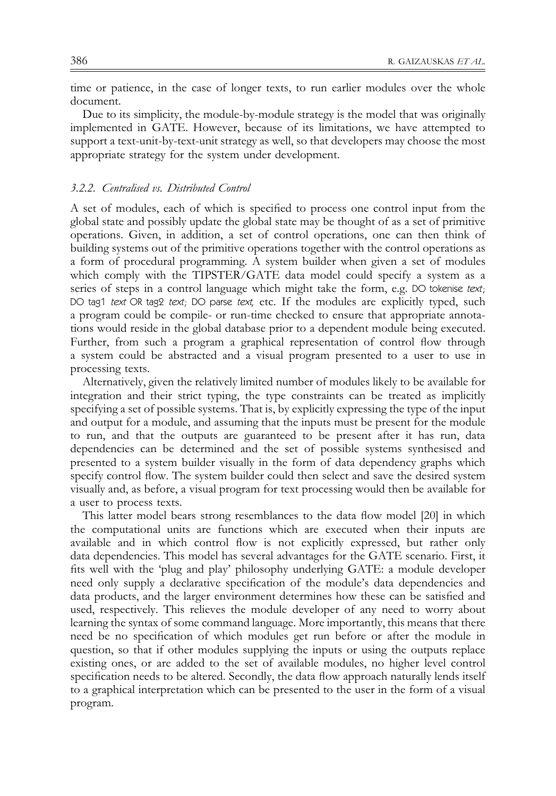time or patience, in the case of longer texts, to run earlier modules over the whole document.

Due to its simplicity, the module-by-module strategy is the model that was originally implemented in GATE. However, because of its limitations, we have attempted to support a text-unit-by-text-unit strategy as well, so that developers may choose the most appropriate strategy for the system under development.

#### *3.2.2. Centralised vs. Distributed Control*

A set of modules, each of which is specified to process one control input from the global state and possibly update the global state may be thought of as a set of primitive operations. Given, in addition, a set of control operations, one can then think of building systems out of the primitive operations together with the control operations as a form of procedural programming. A system builder when given a set of modules which comply with the TIPSTER/GATE data model could specify a system as a series of steps in a control language which might take the form, e.g. DO tokenise text; DO tag1 text OR tag2 text; DO parse text, etc. If the modules are explicitly typed, such a program could be compile- or run-time checked to ensure that appropriate annotations would reside in the global database prior to a dependent module being executed. Further, from such a program a graphical representation of control flow through a system could be abstracted and a visual program presented to a user to use in processing texts.

Alternatively, given the relatively limited number of modules likely to be available for integration and their strict typing, the type constraints can be treated as implicitly specifying a set of possible systems. That is, by explicitly expressing the type of the input and output for a module, and assuming that the inputs must be present for the module to run, and that the outputs are guaranteed to be present after it has run, data dependencies can be determined and the set of possible systems synthesised and presented to a system builder visually in the form of data dependency graphs which specify control flow. The system builder could then select and save the desired system visually and, as before, a visual program for text processing would then be available for a user to process texts.

This latter model bears strong resemblances to the data flow model [\[20\]](#page-36-0) in which the computational units are functions which are executed when their inputs are available and in which control flow is not explicitly expressed, but rather only data dependencies. This model has several advantages for the GATE scenario. First, it fits well with the 'plug and play' philosophy underlying GATE: a module developer need only supply a declarative specification of the module's data dependencies and data products, and the larger environment determines how these can be satisfied and used, respectively. This relieves the module developer of any need to worry about learning the syntax of some command language. More importantly, this means that there need be no specification of which modules get run before or after the module in question, so that if other modules supplying the inputs or using the outputs replace existing ones, or are added to the set of available modules, no higher level control specification needs to be altered. Secondly, the data flow approach naturally lends itself to a graphical interpretation which can be presented to the user in the form of a visual program.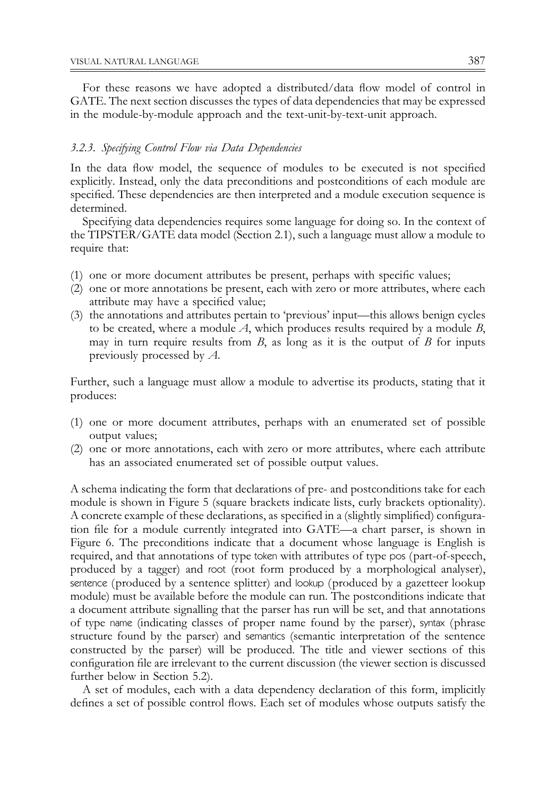<span id="page-13-0"></span>For these reasons we have adopted a distributed/data flow model of control in GATE. The next section discusses the types of data dependencies that may be expressed in the module-by-module approach and the text-unit-by-text-unit approach.

#### *3.2.3. Specifying Control Flow via Data Dependencies*

In the data flow model, the sequence of modules to be executed is not specified explicitly. Instead, only the data preconditions and postconditions of each module are specified. These dependencies are then interpreted and a module execution sequence is determined.

Specifying data dependencies requires some language for doing so. In the context of the TIPSTER/GATE data model (Section 2.1), such a language must allow a module to require that:

- (1) one or more document attributes be present, perhaps with specific values;
- (2) one or more annotations be present, each with zero or more attributes, where each attribute may have a specified value;
- (3) the annotations and attributes pertain to 'previous' input—this allows benign cycles to be created, where a module *A*, which produces results required by a module *B*, may in turn require results from  $B$ , as long as it is the output of  $B$  for inputs previously processed by *A*.

Further, such a language must allow a module to advertise its products, stating that it produces:

- (1) one or more document attributes, perhaps with an enumerated set of possible output values;
- (2) one or more annotations, each with zero or more attributes, where each attribute has an associated enumerated set of possible output values.

A schema indicating the form that declarations of pre- and postconditions take for each module is shown in Figure 5 (square brackets indicate lists, curly brackets optionality). A concrete example of these declarations, as specified in a (slightly simplified) configuration file for a module currently integrated into GATE—a chart parser, is shown in Figure 6. The preconditions indicate that a document whose language is English is required, and that annotations of type token with attributes of type pos (part-of-speech, produced by a tagger) and root (root form produced by a morphological analyser), sentence (produced by a sentence splitter) and lookup (produced by a gazetteer lookup module) must be available before the module can run. The postconditions indicate that a document attribute signalling that the parser has run will be set, and that annotations of type name (indicating classes of proper name found by the parser), syntax (phrase structure found by the parser) and semantics (semantic interpretation of the sentence constructed by the parser) will be produced. The title and viewer sections of this configuration file are irrelevant to the current discussion (the viewer section is discussed further below in Section 5.2).

A set of modules, each with a data dependency declaration of this form, implicitly defines a set of possible control flows. Each set of modules whose outputs satisfy the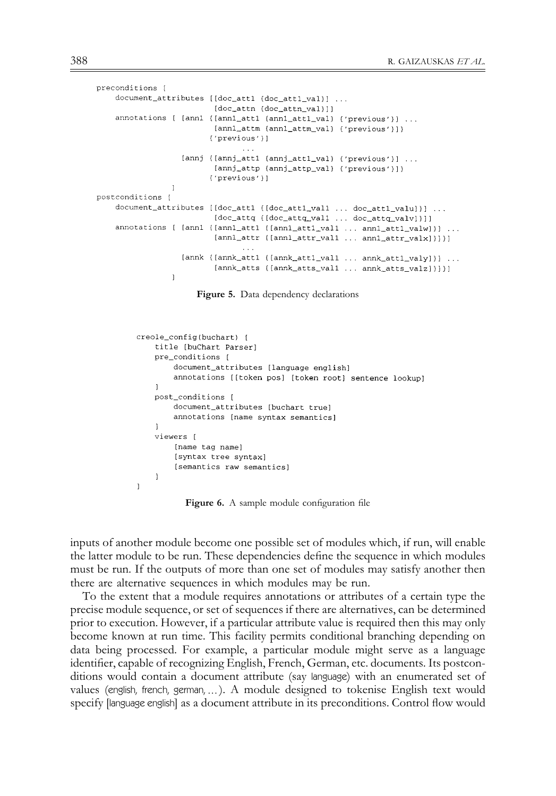```
preconditions f
    document_attributes [[doc_att1 {doc_att1_val}] ...
                           [doc_attn {doc_attn_val}]]
    annotations [ [ann1 ([ann1_att1 (ann1_att1_val) ('previous')] ...
                           [ann1_attm {ann1_attm_val} {'previous'}]}
                           {'previous'}]
                                  \sim \sim \sim[annj ([annj_att1 {annj_att1_val} {'previous'}] ...
                           [annj_attp {annj_attp_val} {'previous'}]}
                           {'previous'}]
                  -1
postconditions {
    document_attributes [[doc_att1 ([doc_att1_val1 ... doc_att1_valu])] ...
                            [doc_attq {[doc_attq_val1 ... doc_attq_valv]}]]
    annotations [ [ann1 ([ann1_att1 ([ann1_att1_val1 ... ann1_att1_valw])] ...
                            [ann1\_attr \{[ann1\_attr\_val1 \dots ann1\_attr\_valx]\}]\}][annk \; \{ \{annk\_att1 \; \{ \{annk\_att1\_vall \; \dots \; annk\_att1\_valy\} \} \} \; \dots[annk\_atts ({annk\_atts\_val1 ... annk\_atts\_valz}})]
                  \mathbf{I}
```
**Figure 5.** Data dependency declarations

```
creole_config(buchart) {
    title [buChart Parser]
    pre conditions (
        document_attributes [language english]
        annotations [[token pos] [token root] sentence lookup]
    \overline{1}post_conditions [
        document_attributes [buchart true]
        annotations [name syntax semantics]
    J.
    viewers [
        [name tag name]
         [syntax tree syntax]
         [semantics raw semantics]
    -1
\overline{\phantom{a}}
```
**Figure 6.** A sample module configuration file

inputs of another module become one possible set of modules which, if run, will enable the latter module to be run. These dependencies define the sequence in which modules must be run. If the outputs of more than one set of modules may satisfy another then there are alternative sequences in which modules may be run.

To the extent that a module requires annotations or attributes of a certain type the precise module sequence, or set of sequences if there are alternatives, can be determined prior to execution. However, if a particular attribute value is required then this may only become known at run time. This facility permits conditional branching depending on data being processed. For example, a particular module might serve as a language identifier, capable of recognizing English, French, German, etc. documents. Its postconditions would contain a document attribute (say language) with an enumerated set of values (english, french, german, ...). A module designed to tokenise English text would specify [language english] as a document attribute in its preconditions. Control flow would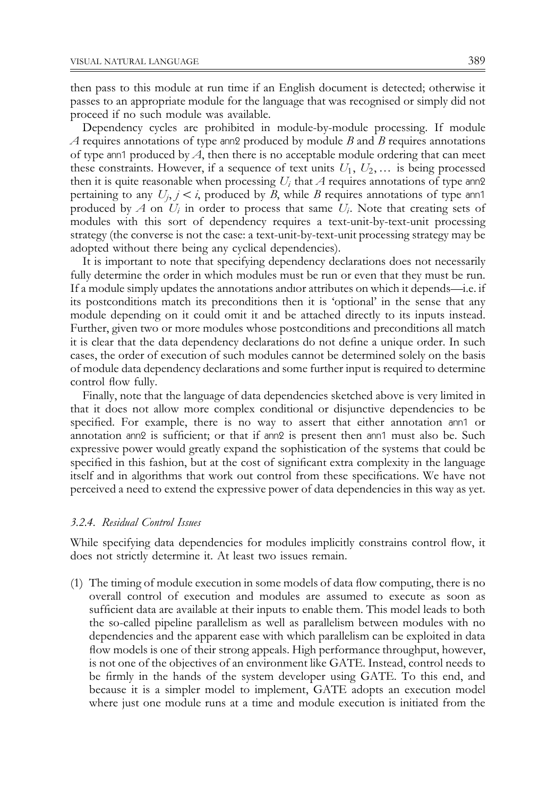<span id="page-15-0"></span>then pass to this module at run time if an English document is detected; otherwise it passes to an appropriate module for the language that was recognised or simply did not proceed if no such module was available.

Dependency cycles are prohibited in module-by-module processing. If module *A* requires annotations of type ann2 produced by module *B* and *B* requires annotations of type ann1 produced by *A*, then there is no acceptable module ordering that can meet these constraints. However, if a sequence of text units  $U_1, U_2, \ldots$  is being processed then it is quite reasonable when processing  $U_i$  that  $A$  requires annotations of type ann2 pertaining to any  $U_j$ ,  $j < i$ , produced by  $B$ , while  $B$  requires annotations of type ann1 produced by  $A$  on  $U_i$  in order to process that same  $U_i$ . Note that creating sets of modules with this sort of dependency requires a text-unit-by-text-unit processing strategy (the converse is not the case: a text-unit-by-text-unit processing strategy may be adopted without there being any cyclical dependencies).

It is important to note that specifying dependency declarations does not necessarily fully determine the order in which modules must be run or even that they must be run. If a module simply updates the annotations andıor attributes on which it depends—i.e. if its postconditions match its preconditions then it is 'optional' in the sense that any module depending on it could omit it and be attached directly to its inputs instead. Further, given two or more modules whose postconditions and preconditions all match it is clear that the data dependency declarations do not define a unique order. In such cases, the order of execution of such modules cannot be determined solely on the basis of module data dependency declarations and some further input is required to determine control flow fully.

Finally, note that the language of data dependencies sketched above is very limited in that it does not allow more complex conditional or disjunctive dependencies to be specified. For example, there is no way to assert that either annotation ann1 or annotation ann2 is sufficient; or that if ann2 is present then ann1 must also be. Such expressive power would greatly expand the sophistication of the systems that could be specified in this fashion, but at the cost of significant extra complexity in the language itself and in algorithms that work out control from these specifications. We have not perceived a need to extend the expressive power of data dependencies in this way as yet.

#### *3.2.4. Residual Control Issues*

While specifying data dependencies for modules implicitly constrains control flow, it does not strictly determine it. At least two issues remain.

(1) The timing of module execution in some models of data flow computing, there is no overall control of execution and modules are assumed to execute as soon as sufficient data are available at their inputs to enable them. This model leads to both the so-called pipeline parallelism as well as parallelism between modules with no dependencies and the apparent ease with which parallelism can be exploited in data flow models is one of their strong appeals. High performance throughput, however, is not one of the objectives of an environment like GATE. Instead, control needs to be firmly in the hands of the system developer using GATE. To this end, and because it is a simpler model to implement, GATE adopts an execution model where just one module runs at a time and module execution is initiated from the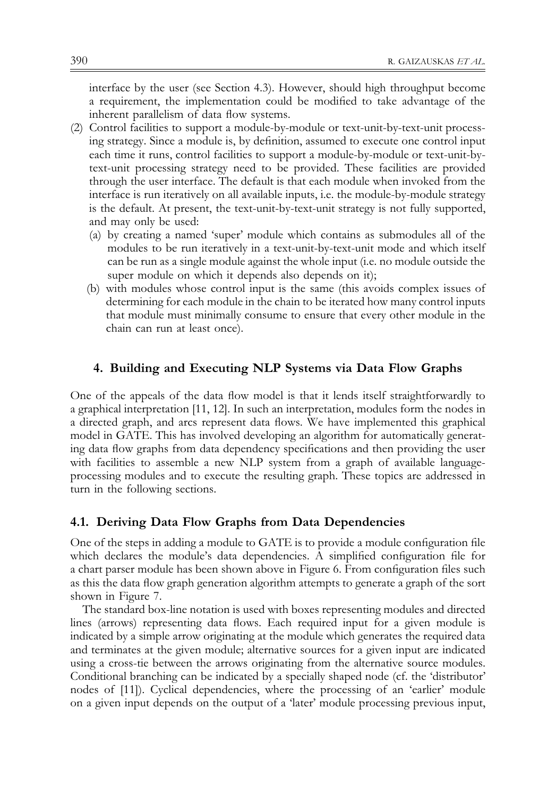<span id="page-16-0"></span>interface by the user (see Section 4.3). However, should high throughput become a requirement, the implementation could be modified to take advantage of the inherent parallelism of data flow systems.

- (2) Control facilities to support a module-by-module or text-unit-by-text-unit processing strategy. Since a module is, by definition, assumed to execute one control input each time it runs, control facilities to support a module-by-module or text-unit-bytext-unit processing strategy need to be provided. These facilities are provided through the user interface. The default is that each module when invoked from the interface is run iteratively on all available inputs, i.e. the module-by-module strategy is the default. At present, the text-unit-by-text-unit strategy is not fully supported, and may only be used:
	- (a) by creating a named 'super' module which contains as submodules all of the modules to be run iteratively in a text-unit-by-text-unit mode and which itself can be run as a single module against the whole input (i.e. no module outside the super module on which it depends also depends on it);
	- (b) with modules whose control input is the same (this avoids complex issues of determining for each module in the chain to be iterated how many control inputs that module must minimally consume to ensure that every other module in the chain can run at least once).

#### **4. Building and Executing NLP Systems via Data Flow Graphs**

One of the appeals of the data flow model is that it lends itself straightforwardly to a graphical interpretation [\[11, 12\].](#page-36-0) In such an interpretation, modules form the nodes in a directed graph, and arcs represent data flows. We have implemented this graphical model in GATE. This has involved developing an algorithm for automatically generating data flow graphs from data dependency specifications and then providing the user with facilities to assemble a new NLP system from a graph of available languageprocessing modules and to execute the resulting graph. These topics are addressed in turn in the following sections.

#### **4.1. Deriving Data Flow Graphs from Data Dependencies**

One of the steps in adding a module to GATE is to provide a module configuration file which declares the module's data dependencies. A simplified configuration file for a chart parser module has been shown above in [Figure 6.](#page-13-0) From configuration files such as this the data flow graph generation algorithm attempts to generate a graph of the sort shown in Figure 7.

The standard box-line notation is used with boxes representing modules and directed lines (arrows) representing data flows. Each required input for a given module is indicated by a simple arrow originating at the module which generates the required data and terminates at the given module; alternative sources for a given input are indicated using a cross-tie between the arrows originating from the alternative source modules. Conditional branching can be indicated by a specially shaped node (cf. the 'distributor' nodes of [\[11\]\)](#page-36-0). Cyclical dependencies, where the processing of an 'earlier' module on a given input depends on the output of a 'later' module processing previous input,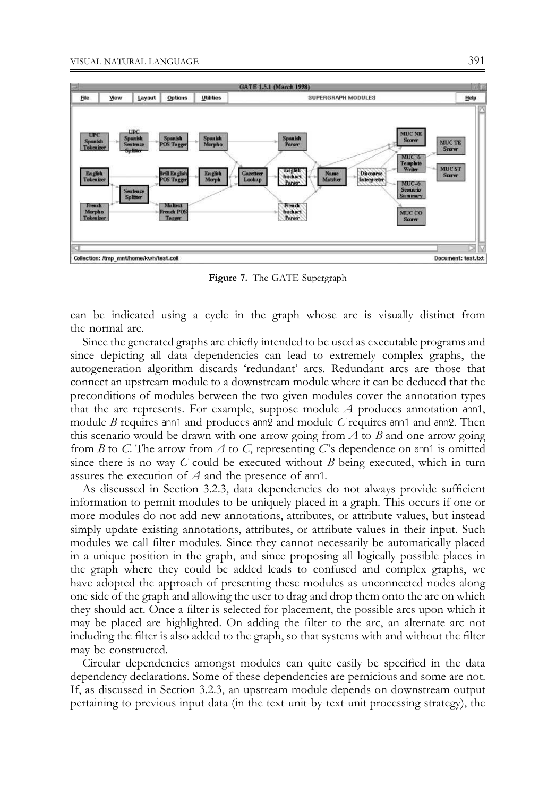

**Figure 7.** The GATE Supergraph

can be indicated using a cycle in the graph whose arc is visually distinct from the normal arc.

Since the generated graphs are chiefly intended to be used as executable programs and since depicting all data dependencies can lead to extremely complex graphs, the autogeneration algorithm discards 'redundant' arcs. Redundant arcs are those that connect an upstream module to a downstream module where it can be deduced that the preconditions of modules between the two given modules cover the annotation types that the arc represents. For example, suppose module *A* produces annotation ann1, module *B* requires ann1 and produces ann2 and module *C* requires ann1 and ann2. Then this scenario would be drawn with one arrow going from *A* to *B* and one arrow going from *B* to *C*. The arrow from *A* to *C*, representing *C*'s dependence on ann1 is omitted since there is no way *C* could be executed without *B* being executed, which in turn assures the execution of *A* and the presence of ann1.

As discussed in Section 3.2.3, data dependencies do not always provide sufficient information to permit modules to be uniquely placed in a graph. This occurs if one or more modules do not add new annotations, attributes, or attribute values, but instead simply update existing annotations, attributes, or attribute values in their input. Such modules we call filter modules. Since they cannot necessarily be automatically placed in a unique position in the graph, and since proposing all logically possible places in the graph where they could be added leads to confused and complex graphs, we have adopted the approach of presenting these modules as unconnected nodes along one side of the graph and allowing the user to drag and drop them onto the arc on which they should act. Once a filter is selected for placement, the possible arcs upon which it may be placed are highlighted. On adding the filter to the arc, an alternate arc not including the filter is also added to the graph, so that systems with and without the filter may be constructed.

Circular dependencies amongst modules can quite easily be specified in the data dependency declarations. Some of these dependencies are pernicious and some are not. If, as discussed in Section 3.2.3, an upstream module depends on downstream output pertaining to previous input data (in the text-unit-by-text-unit processing strategy), the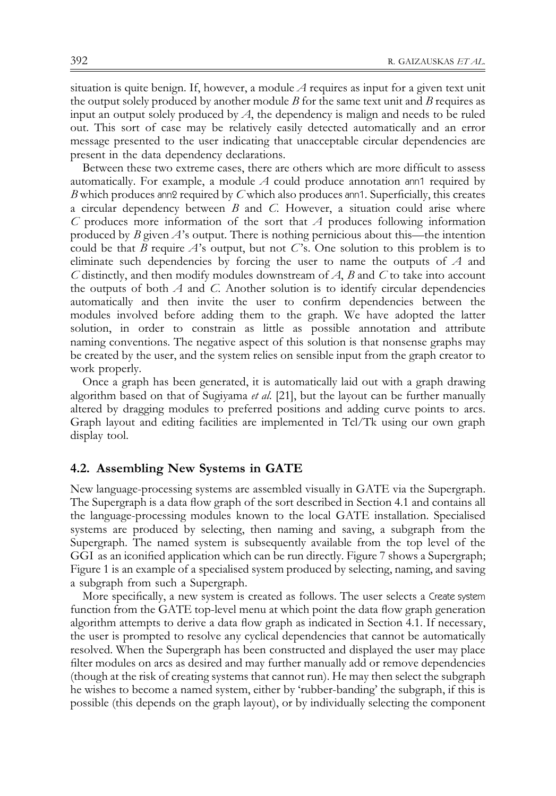situation is quite benign. If, however, a module *A* requires as input for a given text unit the output solely produced by another module *B* for the same text unit and *B* requires as input an output solely produced by *A*, the dependency is malign and needs to be ruled out. This sort of case may be relatively easily detected automatically and an error message presented to the user indicating that unacceptable circular dependencies are present in the data dependency declarations.

Between these two extreme cases, there are others which are more difficult to assess automatically. For example, a module  $A$  could produce annotation ann1 required by *B* which produces ann2 required by *C* which also produces ann1. Superficially, this creates a circular dependency between *B* and *C*. However, a situation could arise where *C* produces more information of the sort that *A* produces following information produced by *B* given  $A$ 's output. There is nothing pernicious about this—the intention could be that *B* require  $A$ 's output, but not  $C$ 's. One solution to this problem is to eliminate such dependencies by forcing the user to name the outputs of *A* and *C* distinctly, and then modify modules downstream of *A*, *B* and *C* to take into account the outputs of both  $A$  and  $C$ . Another solution is to identify circular dependencies automatically and then invite the user to confirm dependencies between the modules involved before adding them to the graph. We have adopted the latter solution, in order to constrain as little as possible annotation and attribute naming conventions. The negative aspect of this solution is that nonsense graphs may be created by the user, and the system relies on sensible input from the graph creator to work properly.

Once a graph has been generated, it is automatically laid out with a graph drawing algorithm based on that of Sugiyama *et al*. [\[21\]](#page-36-0), but the layout can be further manually altered by dragging modules to preferred positions and adding curve points to arcs. Graph layout and editing facilities are implemented in Tcl/Tk using our own graph display tool.

#### **4.2. Assembling New Systems in GATE**

New language-processing systems are assembled visually in GATE via the Supergraph. The Supergraph is a data flow graph of the sort described in Section 4.1 and contains all the language-processing modules known to the local GATE installation. Specialised systems are produced by selecting, then naming and saving, a subgraph from the Supergraph. The named system is subsequently available from the top level of the GGI as an iconified application which can be run directly. [Figure 7 s](#page-16-0)hows a Supergraph; [Figure 1](#page-2-0) is an example of a specialised system produced by selecting, naming, and saving a subgraph from such a Supergraph.

More specifically, a new system is created as follows. The user selects a Create system function from the GATE top-level menu at which point the data flow graph generation algorithm attempts to derive a data flow graph as indicated in Section 4.1. If necessary, the user is prompted to resolve any cyclical dependencies that cannot be automatically resolved. When the Supergraph has been constructed and displayed the user may place filter modules on arcs as desired and may further manually add or remove dependencies (though at the risk of creating systems that cannot run). He may then select the subgraph he wishes to become a named system, either by 'rubber-banding' the subgraph, if this is possible (this depends on the graph layout), or by individually selecting the component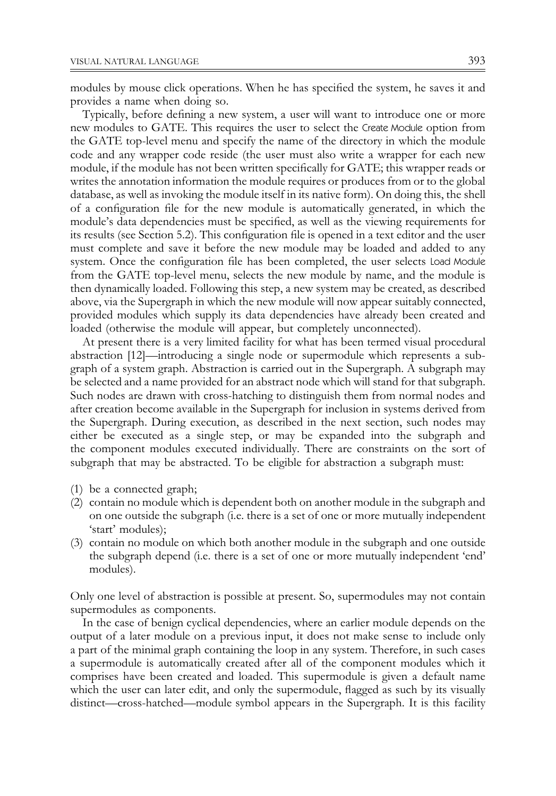modules by mouse click operations. When he has specified the system, he saves it and provides a name when doing so.

Typically, before defining a new system, a user will want to introduce one or more new modules to GATE. This requires the user to select the Create Module option from the GATE top-level menu and specify the name of the directory in which the module code and any wrapper code reside (the user must also write a wrapper for each new module, if the module has not been written specifically for GATE; this wrapper reads or writes the annotation information the module requires or produces from or to the global database, as well as invoking the module itself in its native form). On doing this, the shell of a configuration file for the new module is automatically generated, in which the module's data dependencies must be specified, as well as the viewing requirements for its results (see Section 5.2). This configuration file is opened in a text editor and the user must complete and save it before the new module may be loaded and added to any system. Once the configuration file has been completed, the user selects Load Module from the GATE top-level menu, selects the new module by name, and the module is then dynamically loaded. Following this step, a new system may be created, as described above, via the Supergraph in which the new module will now appear suitably connected, provided modules which supply its data dependencies have already been created and loaded (otherwise the module will appear, but completely unconnected).

At present there is a very limited facility for what has been termed visual procedural abstraction [\[12\]—](#page-36-0)introducing a single node or supermodule which represents a subgraph of a system graph. Abstraction is carried out in the Supergraph. A subgraph may be selected and a name provided for an abstract node which will stand for that subgraph. Such nodes are drawn with cross-hatching to distinguish them from normal nodes and after creation become available in the Supergraph for inclusion in systems derived from the Supergraph. During execution, as described in the next section, such nodes may either be executed as a single step, or may be expanded into the subgraph and the component modules executed individually. There are constraints on the sort of subgraph that may be abstracted. To be eligible for abstraction a subgraph must:

- (1) be a connected graph;
- (2) contain no module which is dependent both on another module in the subgraph and on one outside the subgraph (i.e. there is a set of one or more mutually independent 'start' modules);
- (3) contain no module on which both another module in the subgraph and one outside the subgraph depend (i.e. there is a set of one or more mutually independent 'end' modules).

Only one level of abstraction is possible at present. So, supermodules may not contain supermodules as components.

In the case of benign cyclical dependencies, where an earlier module depends on the output of a later module on a previous input, it does not make sense to include only a part of the minimal graph containing the loop in any system. Therefore, in such cases a supermodule is automatically created after all of the component modules which it comprises have been created and loaded. This supermodule is given a default name which the user can later edit, and only the supermodule, flagged as such by its visually distinct—cross-hatched—module symbol appears in the Supergraph. It is this facility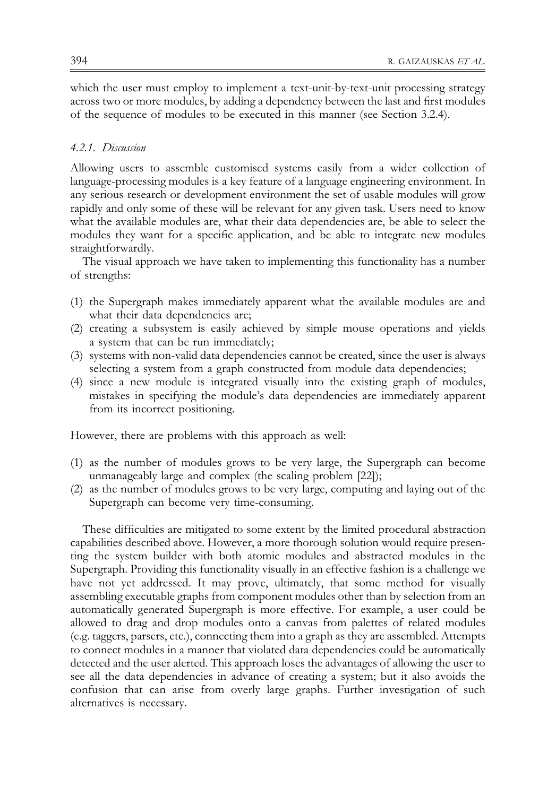which the user must employ to implement a text-unit-by-text-unit processing strategy across two or more modules, by adding a dependency between the last and first modules of the sequence of modules to be executed in this manner (see Section 3.2.4).

#### *4.2.1. Discussion*

Allowing users to assemble customised systems easily from a wider collection of language-processing modules is a key feature of a language engineering environment. In any serious research or development environment the set of usable modules will grow rapidly and only some of these will be relevant for any given task. Users need to know what the available modules are, what their data dependencies are, be able to select the modules they want for a specific application, and be able to integrate new modules straightforwardly.

The visual approach we have taken to implementing this functionality has a number of strengths:

- (1) the Supergraph makes immediately apparent what the available modules are and what their data dependencies are;
- (2) creating a subsystem is easily achieved by simple mouse operations and yields a system that can be run immediately;
- (3) systems with non-valid data dependencies cannot be created, since the user is always selecting a system from a graph constructed from module data dependencies;
- (4) since a new module is integrated visually into the existing graph of modules, mistakes in specifying the module's data dependencies are immediately apparent from its incorrect positioning.

However, there are problems with this approach as well:

- (1) as the number of modules grows to be very large, the Supergraph can become unmanageably large and complex (the scaling problem [\[22\]](#page-36-0));
- (2) as the number of modules grows to be very large, computing and laying out of the Supergraph can become very time-consuming.

These difficulties are mitigated to some extent by the limited procedural abstraction capabilities described above. However, a more thorough solution would require presenting the system builder with both atomic modules and abstracted modules in the Supergraph. Providing this functionality visually in an effective fashion is a challenge we have not yet addressed. It may prove, ultimately, that some method for visually assembling executable graphs from component modules other than by selection from an automatically generated Supergraph is more effective. For example, a user could be allowed to drag and drop modules onto a canvas from palettes of related modules (e.g. taggers, parsers, etc.), connecting them into a graph as they are assembled. Attempts to connect modules in a manner that violated data dependencies could be automatically detected and the user alerted. This approach loses the advantages of allowing the user to see all the data dependencies in advance of creating a system; but it also avoids the confusion that can arise from overly large graphs. Further investigation of such alternatives is necessary.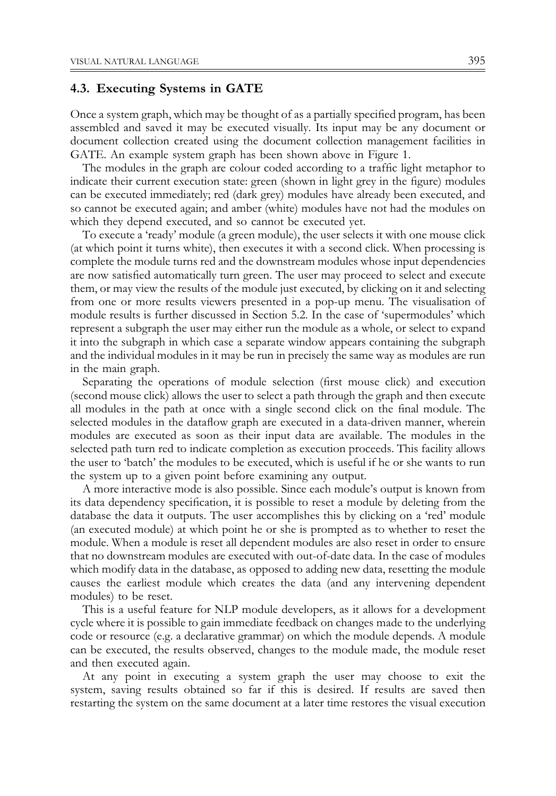#### <span id="page-21-0"></span>**4.3. Executing Systems in GATE**

Once a system graph, which may be thought of as a partially specified program, has been assembled and saved it may be executed visually. Its input may be any document or document collection created using the document collection management facilities in GATE. An example system graph has been shown above in [Figure 1.](#page-2-0)

The modules in the graph are colour coded according to a traffic light metaphor to indicate their current execution state: green (shown in light grey in the figure) modules can be executed immediately; red (dark grey) modules have already been executed, and so cannot be executed again; and amber (white) modules have not had the modules on which they depend executed, and so cannot be executed yet.

To execute a 'ready' module (a green module), the user selects it with one mouse click (at which point it turns white), then executes it with a second click. When processing is complete the module turns red and the downstream modules whose input dependencies are now satisfied automatically turn green. The user may proceed to select and execute them, or may view the results of the module just executed, by clicking on it and selecting from one or more results viewers presented in a pop-up menu. The visualisation of module results is further discussed in Section 5.2. In the case of 'supermodules' which represent a subgraph the user may either run the module as a whole, or select to expand it into the subgraph in which case a separate window appears containing the subgraph and the individual modules in it may be run in precisely the same way as modules are run in the main graph.

Separating the operations of module selection (first mouse click) and execution (second mouse click) allows the user to select a path through the graph and then execute all modules in the path at once with a single second click on the final module. The selected modules in the dataflow graph are executed in a data-driven manner, wherein modules are executed as soon as their input data are available. The modules in the selected path turn red to indicate completion as execution proceeds. This facility allows the user to 'batch' the modules to be executed, which is useful if he or she wants to run the system up to a given point before examining any output.

A more interactive mode is also possible. Since each module's output is known from its data dependency specification, it is possible to reset a module by deleting from the database the data it outputs. The user accomplishes this by clicking on a 'red' module (an executed module) at which point he or she is prompted as to whether to reset the module. When a module is reset all dependent modules are also reset in order to ensure that no downstream modules are executed with out-of-date data. In the case of modules which modify data in the database, as opposed to adding new data, resetting the module causes the earliest module which creates the data (and any intervening dependent modules) to be reset.

This is a useful feature for NLP module developers, as it allows for a development cycle where it is possible to gain immediate feedback on changes made to the underlying code or resource (e.g. a declarative grammar) on which the module depends. A module can be executed, the results observed, changes to the module made, the module reset and then executed again.

At any point in executing a system graph the user may choose to exit the system, saving results obtained so far if this is desired. If results are saved then restarting the system on the same document at a later time restores the visual execution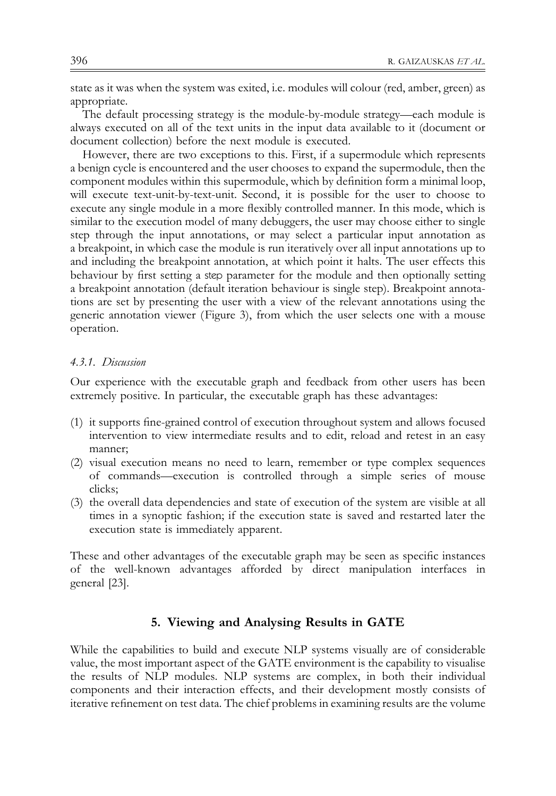state as it was when the system was exited, i.e. modules will colour (red, amber, green) as appropriate.

The default processing strategy is the module-by-module strategy—each module is always executed on all of the text units in the input data available to it (document or document collection) before the next module is executed.

However, there are two exceptions to this. First, if a supermodule which represents a benign cycle is encountered and the user chooses to expand the supermodule, then the component modules within this supermodule, which by definition form a minimal loop, will execute text-unit-by-text-unit. Second, it is possible for the user to choose to execute any single module in a more flexibly controlled manner. In this mode, which is similar to the execution model of many debuggers, the user may choose either to single step through the input annotations, or may select a particular input annotation as a breakpoint, in which case the module is run iteratively over all input annotations up to and including the breakpoint annotation, at which point it halts. The user effects this behaviour by first setting a step parameter for the module and then optionally setting a breakpoint annotation (default iteration behaviour is single step). Breakpoint annotations are set by presenting the user with a view of the relevant annotations using the generic annotation viewer [\(Figure 3\),](#page-5-0) from which the user selects one with a mouse operation.

#### *4.3.1. Discussion*

Our experience with the executable graph and feedback from other users has been extremely positive. In particular, the executable graph has these advantages:

- (1) it supports fine-grained control of execution throughout system and allows focused intervention to view intermediate results and to edit, reload and retest in an easy manner;
- (2) visual execution means no need to learn, remember or type complex sequences of commands—execution is controlled through a simple series of mouse clicks;
- (3) the overall data dependencies and state of execution of the system are visible at all times in a synoptic fashion; if the execution state is saved and restarted later the execution state is immediately apparent.

These and other advantages of the executable graph may be seen as specific instances of the well-known advantages afforded by direct manipulation interfaces in general [\[23\].](#page-36-0)

#### **5. Viewing and Analysing Results in GATE**

While the capabilities to build and execute NLP systems visually are of considerable value, the most important aspect of the GATE environment is the capability to visualise the results of NLP modules. NLP systems are complex, in both their individual components and their interaction effects, and their development mostly consists of iterative refinement on test data. The chief problems in examining results are the volume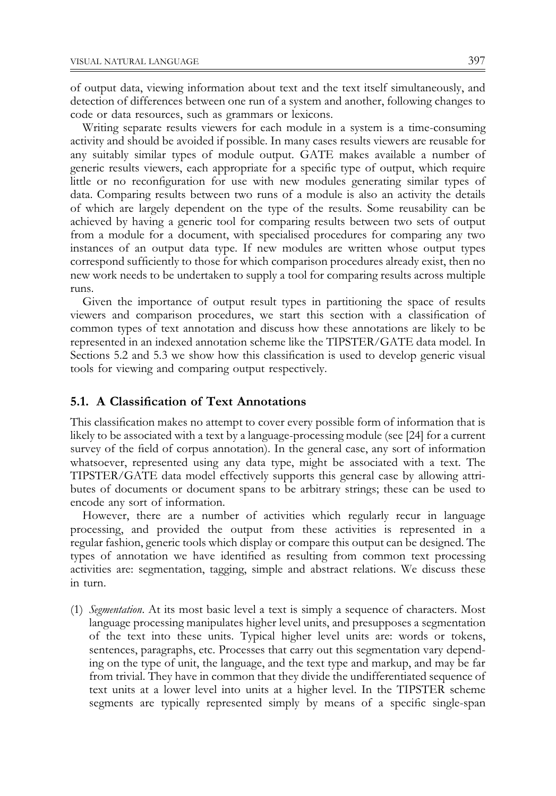of output data, viewing information about text and the text itself simultaneously, and detection of differences between one run of a system and another, following changes to code or data resources, such as grammars or lexicons.

Writing separate results viewers for each module in a system is a time-consuming activity and should be avoided if possible. In many cases results viewers are reusable for any suitably similar types of module output. GATE makes available a number of generic results viewers, each appropriate for a specific type of output, which require little or no reconfiguration for use with new modules generating similar types of data. Comparing results between two runs of a module is also an activity the details of which are largely dependent on the type of the results. Some reusability can be achieved by having a generic tool for comparing results between two sets of output from a module for a document, with specialised procedures for comparing any two instances of an output data type. If new modules are written whose output types correspond sufficiently to those for which comparison procedures already exist, then no new work needs to be undertaken to supply a tool for comparing results across multiple runs.

Given the importance of output result types in partitioning the space of results viewers and comparison procedures, we start this section with a classification of common types of text annotation and discuss how these annotations are likely to be represented in an indexed annotation scheme like the TIPSTER/GATE data model. In Sections 5.2 and 5.3 we show how this classification is used to develop generic visual tools for viewing and comparing output respectively.

#### **5.1. A Classification of Text Annotations**

This classification makes no attempt to cover every possible form of information that is likely to be associated with a text by a language-processing module (see [\[24\]](#page-36-0) for a current survey of the field of corpus annotation). In the general case, any sort of information whatsoever, represented using any data type, might be associated with a text. The TIPSTER/GATE data model effectively supports this general case by allowing attributes of documents or document spans to be arbitrary strings; these can be used to encode any sort of information.

However, there are a number of activities which regularly recur in language processing, and provided the output from these activities is represented in a regular fashion, generic tools which display or compare this output can be designed. The types of annotation we have identified as resulting from common text processing activities are: segmentation, tagging, simple and abstract relations. We discuss these in turn.

(1) *Segmentation*. At its most basic level a text is simply a sequence of characters. Most language processing manipulates higher level units, and presupposes a segmentation of the text into these units. Typical higher level units are: words or tokens, sentences, paragraphs, etc. Processes that carry out this segmentation vary depending on the type of unit, the language, and the text type and markup, and may be far from trivial. They have in common that they divide the undifferentiated sequence of text units at a lower level into units at a higher level. In the TIPSTER scheme segments are typically represented simply by means of a specific single-span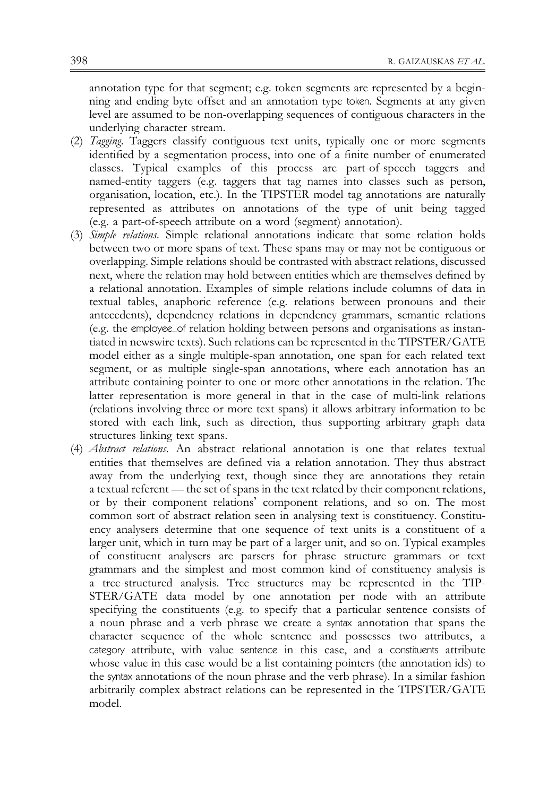annotation type for that segment; e.g. token segments are represented by a beginning and ending byte offset and an annotation type token. Segments at any given level are assumed to be non-overlapping sequences of contiguous characters in the underlying character stream.

- (2) *Tagging*. Taggers classify contiguous text units, typically one or more segments identified by a segmentation process, into one of a finite number of enumerated classes. Typical examples of this process are part-of-speech taggers and named-entity taggers (e.g. taggers that tag names into classes such as person, organisation, location, etc.). In the TIPSTER model tag annotations are naturally represented as attributes on annotations of the type of unit being tagged (e.g. a part-of-speech attribute on a word (segment) annotation).
- (3) *Simple relations*. Simple relational annotations indicate that some relation holds between two or more spans of text. These spans may or may not be contiguous or overlapping. Simple relations should be contrasted with abstract relations, discussed next, where the relation may hold between entities which are themselves defined by a relational annotation. Examples of simple relations include columns of data in textual tables, anaphoric reference (e.g. relations between pronouns and their antecedents), dependency relations in dependency grammars, semantic relations (e.g. the employee—of relation holding between persons and organisations as instantiated in newswire texts). Such relations can be represented in the TIPSTER/GATE model either as a single multiple-span annotation, one span for each related text segment, or as multiple single-span annotations, where each annotation has an attribute containing pointer to one or more other annotations in the relation. The latter representation is more general in that in the case of multi-link relations (relations involving three or more text spans) it allows arbitrary information to be stored with each link, such as direction, thus supporting arbitrary graph data structures linking text spans.
- (4) *Abstract relations*. An abstract relational annotation is one that relates textual entities that themselves are defined via a relation annotation. They thus abstract away from the underlying text, though since they are annotations they retain a textual referent — the set of spans in the text related by their component relations, or by their component relations' component relations, and so on. The most common sort of abstract relation seen in analysing text is constituency. Constituency analysers determine that one sequence of text units is a constituent of a larger unit, which in turn may be part of a larger unit, and so on. Typical examples of constituent analysers are parsers for phrase structure grammars or text grammars and the simplest and most common kind of constituency analysis is a tree-structured analysis. Tree structures may be represented in the TIP-STER/GATE data model by one annotation per node with an attribute specifying the constituents (e.g. to specify that a particular sentence consists of a noun phrase and a verb phrase we create a syntax annotation that spans the character sequence of the whole sentence and possesses two attributes, a category attribute, with value sentence in this case, and a constituents attribute whose value in this case would be a list containing pointers (the annotation ids) to the syntax annotations of the noun phrase and the verb phrase). In a similar fashion arbitrarily complex abstract relations can be represented in the TIPSTER/GATE model.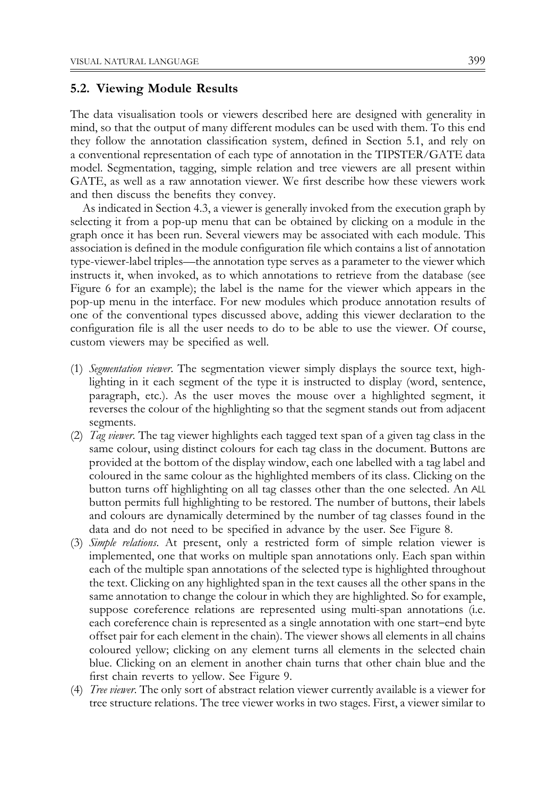#### **5.2. Viewing Module Results**

The data visualisation tools or viewers described here are designed with generality in mind, so that the output of many different modules can be used with them. To this end they follow the annotation classification system, defined in Section 5.1, and rely on a conventional representation of each type of annotation in the TIPSTER/GATE data model. Segmentation, tagging, simple relation and tree viewers are all present within GATE, as well as a raw annotation viewer. We first describe how these viewers work and then discuss the benefits they convey.

As indicated in Section 4.3, a viewer is generally invoked from the execution graph by selecting it from a pop-up menu that can be obtained by clicking on a module in the graph once it has been run. Several viewers may be associated with each module. This association is defined in the module configuration file which contains a list of annotation type-viewer-label triples—the annotation type serves as a parameter to the viewer which instructs it, when invoked, as to which annotations to retrieve from the database (see [Figure 6](#page-13-0) for an example); the label is the name for the viewer which appears in the pop-up menu in the interface. For new modules which produce annotation results of one of the conventional types discussed above, adding this viewer declaration to the configuration file is all the user needs to do to be able to use the viewer. Of course, custom viewers may be specified as well.

- (1) *Segmentation viewer*. The segmentation viewer simply displays the source text, highlighting in it each segment of the type it is instructed to display (word, sentence, paragraph, etc.). As the user moves the mouse over a highlighted segment, it reverses the colour of the highlighting so that the segment stands out from adjacent segments.
- (2) *Tag viewer*. The tag viewer highlights each tagged text span of a given tag class in the same colour, using distinct colours for each tag class in the document. Buttons are provided at the bottom of the display window, each one labelled with a tag label and coloured in the same colour as the highlighted members of its class. Clicking on the button turns off highlighting on all tag classes other than the one selected. An ALL button permits full highlighting to be restored. The number of buttons, their labels and colours are dynamically determined by the number of tag classes found in the data and do not need to be specified in advance by the user. See Figure 8.
- (3) *Simple relations*. At present, only a restricted form of simple relation viewer is implemented, one that works on multiple span annotations only. Each span within each of the multiple span annotations of the selected type is highlighted throughout the text. Clicking on any highlighted span in the text causes all the other spans in the same annotation to change the colour in which they are highlighted. So for example, suppose coreference relations are represented using multi-span annotations (i.e. each coreference chain is represented as a single annotation with one start-end byte offset pair for each element in the chain). The viewer shows all elements in all chains coloured yellow; clicking on any element turns all elements in the selected chain blue. Clicking on an element in another chain turns that other chain blue and the first chain reverts to yellow. See [Figure 9.](#page-26-0)
- (4) *Tree viewer*. The only sort of abstract relation viewer currently available is a viewer for tree structure relations. The tree viewer works in two stages. First, a viewer similar to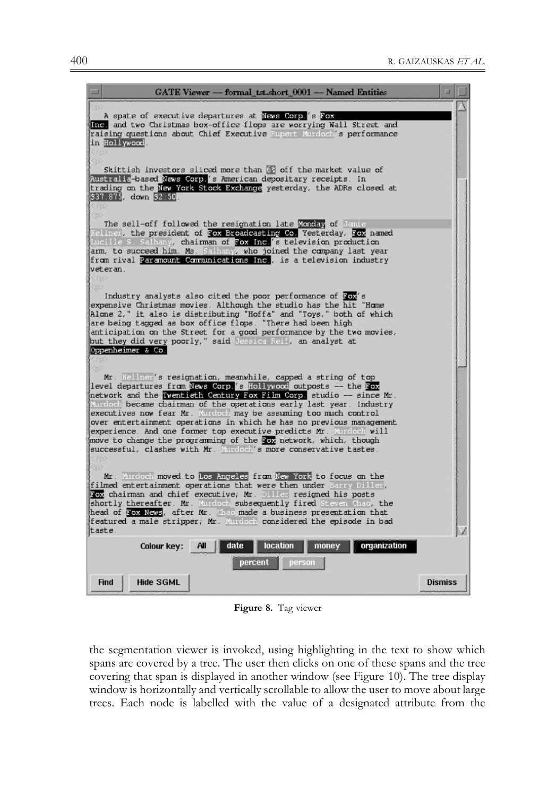<span id="page-26-0"></span>

**Figure 8.** Tag viewer

the segmentation viewer is invoked, using highlighting in the text to show which spans are covered by a tree. The user then clicks on one of these spans and the tree covering that span is displayed in another window (see [Figure 10\)](#page-27-0). The tree display window is horizontally and vertically scrollable to allow the user to move about large trees. Each node is labelled with the value of a designated attribute from the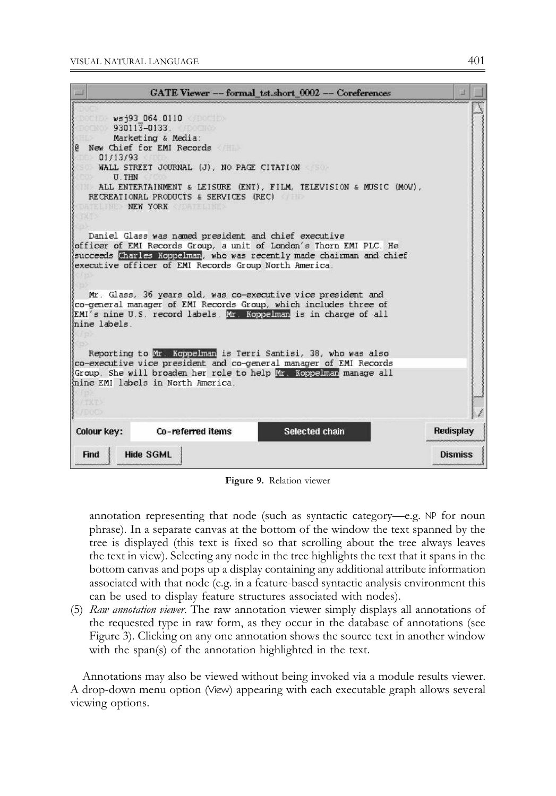<span id="page-27-0"></span>

|                               |                                                                                                               | GATE Viewer -- formal tst.short 0002 -- Coreferences                                                                                                                                                    |                  |
|-------------------------------|---------------------------------------------------------------------------------------------------------------|---------------------------------------------------------------------------------------------------------------------------------------------------------------------------------------------------------|------------------|
|                               | wsj93064.0110<br><b>10 930113-0133. DOCTOR</b>                                                                |                                                                                                                                                                                                         |                  |
| i0.<br>01/13/93               | Marketing & Media:<br>New Chief for EMI Records                                                               |                                                                                                                                                                                                         |                  |
| U. THN                        | WALL STREET JOURNAL (J), NO PAGE CITATION (SO)                                                                |                                                                                                                                                                                                         |                  |
|                               | RECREATIONAL PRODUCTS & SERVICES (REC)<br>DATELINE NEW YORK ONE LINE                                          | ALL ENTERTAINMENT & LEISURE (ENT), FILM, TELEVISION & MUSIC (MOV),                                                                                                                                      |                  |
|                               | Daniel Glass was named president and chief executive<br>executive officer of EMI Records Group North America. | officer of EMI Records Group, a unit of London's Thorn EMI PLC. He<br>succeeds Charles Koppelman, who was recently made chairman and chief                                                              |                  |
| inine labels.                 |                                                                                                               | Mr. Glass, 36 years old, was co-executive vice president and<br>co-general manager of EMI Records Group, which includes three of<br>EMI's nine U.S. record labels. Wr. Koppelman is in charge of all    |                  |
|                               | inine EMI labels in North America.                                                                            | Reporting to Mr. Koppelman is Terri Santisi, 38, who was also<br>co-executive vice president and co-general manager of EMI Records<br>Group. She will broaden her role to help Mr. Koppelman manage all |                  |
| <b>STRTS</b><br><b>CITIOD</b> |                                                                                                               |                                                                                                                                                                                                         |                  |
| <b>Colour key:</b>            | Co-referred items                                                                                             | <b>Selected chain</b>                                                                                                                                                                                   | <b>Redisplay</b> |
| <b>Find</b>                   | <b>Hide SGML</b>                                                                                              |                                                                                                                                                                                                         | <b>Dismiss</b>   |

**Figure 9.** Relation viewer

annotation representing that node (such as syntactic category—e.g. NP for noun phrase). In a separate canvas at the bottom of the window the text spanned by the tree is displayed (this text is fixed so that scrolling about the tree always leaves the text in view). Selecting any node in the tree highlights the text that it spans in the bottom canvas and pops up a display containing any additional attribute information associated with that node (e.g. in a feature-based syntactic analysis environment this can be used to display feature structures associated with nodes).

(5) *Raw annotation viewer*. The raw annotation viewer simply displays all annotations of the requested type in raw form, as they occur in the database of annotations (see [Figure 3\).](#page-5-0) Clicking on any one annotation shows the source text in another window with the span(s) of the annotation highlighted in the text.

Annotations may also be viewed without being invoked via a module results viewer. A drop-down menu option (View) appearing with each executable graph allows several viewing options.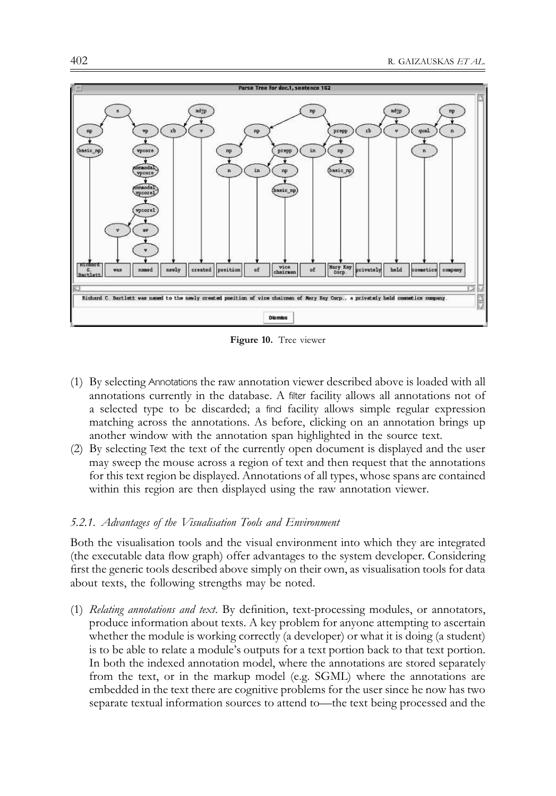

**Figure 10.** Tree viewer

- (1) By selecting Annotations the raw annotation viewer described above is loaded with all annotations currently in the database. A filter facility allows all annotations not of a selected type to be discarded; a find facility allows simple regular expression matching across the annotations. As before, clicking on an annotation brings up another window with the annotation span highlighted in the source text.
- (2) By selecting Text the text of the currently open document is displayed and the user may sweep the mouse across a region of text and then request that the annotations for this text region be displayed. Annotations of all types, whose spans are contained within this region are then displayed using the raw annotation viewer.

#### *5.2.1. Advantages of the Visualisation Tools and Environment*

Both the visualisation tools and the visual environment into which they are integrated (the executable data flow graph) offer advantages to the system developer. Considering first the generic tools described above simply on their own, as visualisation tools for data about texts, the following strengths may be noted.

(1) *Relating annotations and text*. By definition, text-processing modules, or annotators, produce information about texts. A key problem for anyone attempting to ascertain whether the module is working correctly (a developer) or what it is doing (a student) is to be able to relate a module's outputs for a text portion back to that text portion. In both the indexed annotation model, where the annotations are stored separately from the text, or in the markup model (e.g. SGML) where the annotations are embedded in the text there are cognitive problems for the user since he now has two separate textual information sources to attend to—the text being processed and the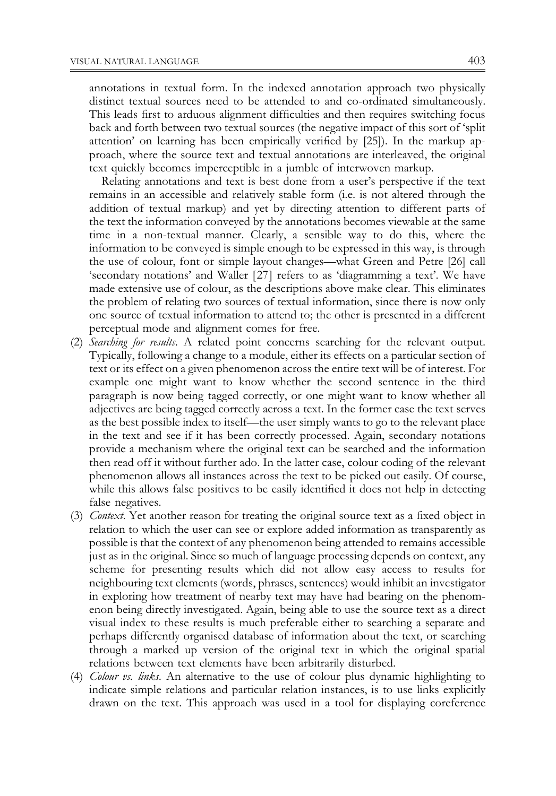annotations in textual form. In the indexed annotation approach two physically distinct textual sources need to be attended to and co-ordinated simultaneously. This leads first to arduous alignment difficulties and then requires switching focus back and forth between two textual sources (the negative impact of this sort of 'split attention' on learning has been empirically verified by [\[25\]\)](#page-36-0). In the markup approach, where the source text and textual annotations are interleaved, the original text quickly becomes imperceptible in a jumble of interwoven markup.

Relating annotations and text is best done from a user's perspective if the text remains in an accessible and relatively stable form (i.e. is not altered through the addition of textual markup) and yet by directing attention to different parts of the text the information conveyed by the annotations becomes viewable at the same time in a non-textual manner. Clearly, a sensible way to do this, where the information to be conveyed is simple enough to be expressed in this way, is through the use of colour, font or simple layout changes—what Green and Petre [\[26\]](#page-36-0) call 'secondary notations' and Waller [\[27\]](#page-37-0) refers to as 'diagramming a text'. We have made extensive use of colour, as the descriptions above make clear. This eliminates the problem of relating two sources of textual information, since there is now only one source of textual information to attend to; the other is presented in a different perceptual mode and alignment comes for free.

- (2) *Searching for results*. A related point concerns searching for the relevant output. Typically, following a change to a module, either its effects on a particular section of text or its effect on a given phenomenon across the entire text will be of interest. For example one might want to know whether the second sentence in the third paragraph is now being tagged correctly, or one might want to know whether all adjectives are being tagged correctly across a text. In the former case the text serves as the best possible index to itself—the user simply wants to go to the relevant place in the text and see if it has been correctly processed. Again, secondary notations provide a mechanism where the original text can be searched and the information then read off it without further ado. In the latter case, colour coding of the relevant phenomenon allows all instances across the text to be picked out easily. Of course, while this allows false positives to be easily identified it does not help in detecting false negatives.
- (3) *Context*. Yet another reason for treating the original source text as a fixed object in relation to which the user can see or explore added information as transparently as possible is that the context of any phenomenon being attended to remains accessible just as in the original. Since so much of language processing depends on context, any scheme for presenting results which did not allow easy access to results for neighbouring text elements (words, phrases, sentences) would inhibit an investigator in exploring how treatment of nearby text may have had bearing on the phenomenon being directly investigated. Again, being able to use the source text as a direct visual index to these results is much preferable either to searching a separate and perhaps differently organised database of information about the text, or searching through a marked up version of the original text in which the original spatial relations between text elements have been arbitrarily disturbed.
- (4) *Colour vs. links*. An alternative to the use of colour plus dynamic highlighting to indicate simple relations and particular relation instances, is to use links explicitly drawn on the text. This approach was used in a tool for displaying coreference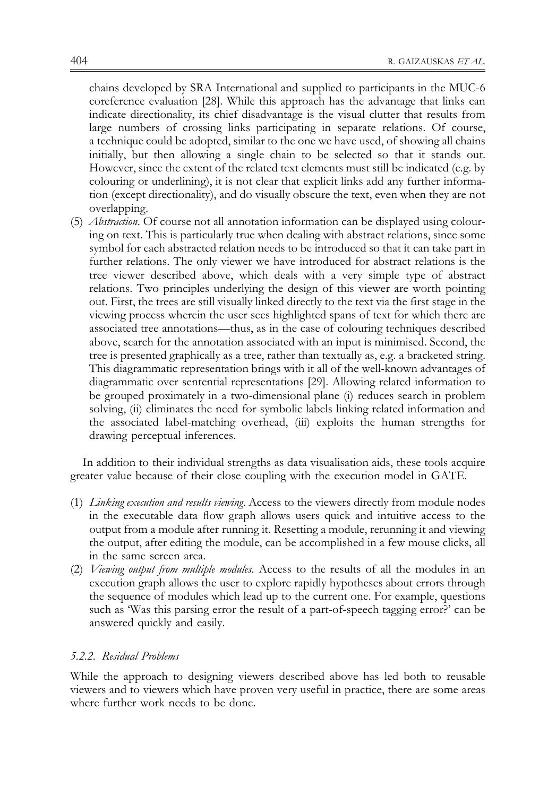chains developed by SRA International and supplied to participants in the MUC-6 coreference evaluation [\[28\].](#page-37-0) While this approach has the advantage that links can indicate directionality, its chief disadvantage is the visual clutter that results from large numbers of crossing links participating in separate relations. Of course, a technique could be adopted, similar to the one we have used, of showing all chains initially, but then allowing a single chain to be selected so that it stands out. However, since the extent of the related text elements must still be indicated (e.g. by colouring or underlining), it is not clear that explicit links add any further information (except directionality), and do visually obscure the text, even when they are not overlapping.

(5) *Abstraction*. Of course not all annotation information can be displayed using colouring on text. This is particularly true when dealing with abstract relations, since some symbol for each abstracted relation needs to be introduced so that it can take part in further relations. The only viewer we have introduced for abstract relations is the tree viewer described above, which deals with a very simple type of abstract relations. Two principles underlying the design of this viewer are worth pointing out. First, the trees are still visually linked directly to the text via the first stage in the viewing process wherein the user sees highlighted spans of text for which there are associated tree annotations—thus, as in the case of colouring techniques described above, search for the annotation associated with an input is minimised. Second, the tree is presented graphically as a tree, rather than textually as, e.g. a bracketed string. This diagrammatic representation brings with it all of the well-known advantages of diagrammatic over sentential representations [\[29\]](#page-37-0). Allowing related information to be grouped proximately in a two-dimensional plane (i) reduces search in problem solving, (ii) eliminates the need for symbolic labels linking related information and the associated label-matching overhead, (iii) exploits the human strengths for drawing perceptual inferences.

In addition to their individual strengths as data visualisation aids, these tools acquire greater value because of their close coupling with the execution model in GATE.

- (1) *Linking execution and results viewing*. Access to the viewers directly from module nodes in the executable data flow graph allows users quick and intuitive access to the output from a module after running it. Resetting a module, rerunning it and viewing the output, after editing the module, can be accomplished in a few mouse clicks, all in the same screen area.
- (2) *Viewing output from multiple modules*. Access to the results of all the modules in an execution graph allows the user to explore rapidly hypotheses about errors through the sequence of modules which lead up to the current one. For example, questions such as 'Was this parsing error the result of a part-of-speech tagging error?' can be answered quickly and easily.

#### *5.2.2. Residual Problems*

While the approach to designing viewers described above has led both to reusable viewers and to viewers which have proven very useful in practice, there are some areas where further work needs to be done.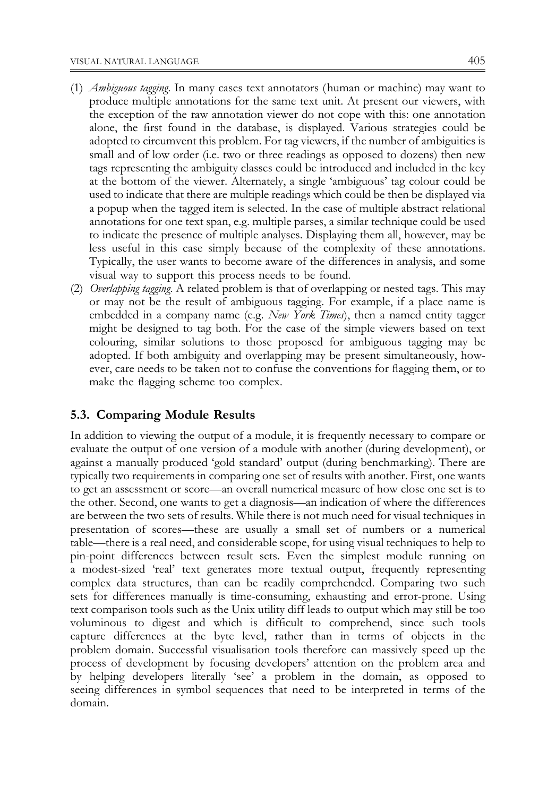- (1) *Ambiguous tagging*. In many cases text annotators (human or machine) may want to produce multiple annotations for the same text unit. At present our viewers, with the exception of the raw annotation viewer do not cope with this: one annotation alone, the first found in the database, is displayed. Various strategies could be adopted to circumvent this problem. For tag viewers, if the number of ambiguities is small and of low order (i.e. two or three readings as opposed to dozens) then new tags representing the ambiguity classes could be introduced and included in the key at the bottom of the viewer. Alternately, a single 'ambiguous' tag colour could be used to indicate that there are multiple readings which could be then be displayed via a popup when the tagged item is selected. In the case of multiple abstract relational annotations for one text span, e.g. multiple parses, a similar technique could be used to indicate the presence of multiple analyses. Displaying them all, however, may be less useful in this case simply because of the complexity of these annotations. Typically, the user wants to become aware of the differences in analysis, and some visual way to support this process needs to be found.
- (2) *Overlapping tagging*. A related problem is that of overlapping or nested tags. This may or may not be the result of ambiguous tagging. For example, if a place name is embedded in a company name (e.g. *New York Times*), then a named entity tagger might be designed to tag both. For the case of the simple viewers based on text colouring, similar solutions to those proposed for ambiguous tagging may be adopted. If both ambiguity and overlapping may be present simultaneously, however, care needs to be taken not to confuse the conventions for flagging them, or to make the flagging scheme too complex.

#### **5.3. Comparing Module Results**

In addition to viewing the output of a module, it is frequently necessary to compare or evaluate the output of one version of a module with another (during development), or against a manually produced 'gold standard' output (during benchmarking). There are typically two requirements in comparing one set of results with another. First, one wants to get an assessment or score—an overall numerical measure of how close one set is to the other. Second, one wants to get a diagnosis—an indication of where the differences are between the two sets of results. While there is not much need for visual techniques in presentation of scores—these are usually a small set of numbers or a numerical table—there is a real need, and considerable scope, for using visual techniques to help to pin-point differences between result sets. Even the simplest module running on a modest-sized 'real' text generates more textual output, frequently representing complex data structures, than can be readily comprehended. Comparing two such sets for differences manually is time-consuming, exhausting and error-prone. Using text comparison tools such as the Unix utility diff leads to output which may still be too voluminous to digest and which is difficult to comprehend, since such tools capture differences at the byte level, rather than in terms of objects in the problem domain. Successful visualisation tools therefore can massively speed up the process of development by focusing developers' attention on the problem area and by helping developers literally 'see' a problem in the domain, as opposed to seeing differences in symbol sequences that need to be interpreted in terms of the domain.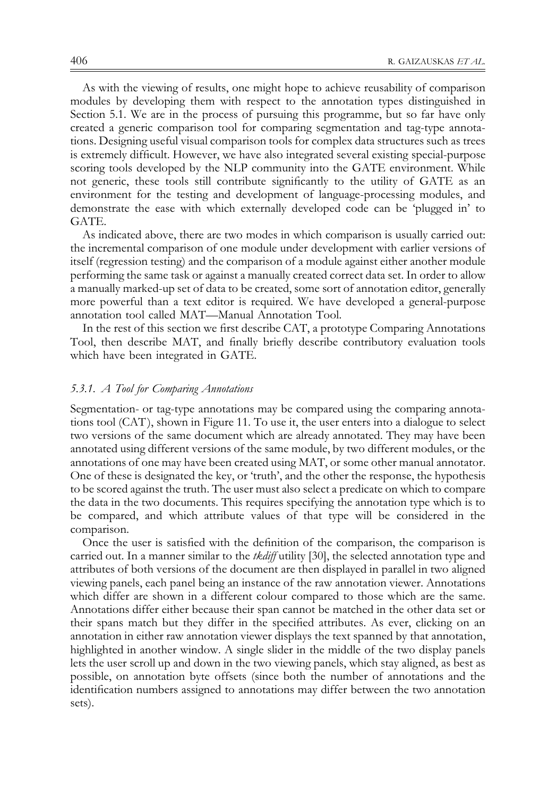As with the viewing of results, one might hope to achieve reusability of comparison modules by developing them with respect to the annotation types distinguished in Section 5.1. We are in the process of pursuing this programme, but so far have only created a generic comparison tool for comparing segmentation and tag-type annotations. Designing useful visual comparison tools for complex data structures such as trees is extremely difficult. However, we have also integrated several existing special-purpose scoring tools developed by the NLP community into the GATE environment. While not generic, these tools still contribute significantly to the utility of GATE as an environment for the testing and development of language-processing modules, and demonstrate the ease with which externally developed code can be 'plugged in' to GATE.

As indicated above, there are two modes in which comparison is usually carried out: the incremental comparison of one module under development with earlier versions of itself (regression testing) and the comparison of a module against either another module performing the same task or against a manually created correct data set. In order to allow a manually marked-up set of data to be created, some sort of annotation editor, generally more powerful than a text editor is required. We have developed a general-purpose annotation tool called MAT—Manual Annotation Tool.

In the rest of this section we first describe CAT, a prototype Comparing Annotations Tool, then describe MAT, and finally briefly describe contributory evaluation tools which have been integrated in GATE.

#### *5.3.1. A Tool for Comparing Annotations*

Segmentation- or tag-type annotations may be compared using the comparing annotations tool (CAT), shown in Figure 11. To use it, the user enters into a dialogue to select two versions of the same document which are already annotated. They may have been annotated using different versions of the same module, by two different modules, or the annotations of one may have been created using MAT, or some other manual annotator. One of these is designated the key, or 'truth', and the other the response, the hypothesis to be scored against the truth. The user must also select a predicate on which to compare the data in the two documents. This requires specifying the annotation type which is to be compared, and which attribute values of that type will be considered in the comparison.

Once the user is satisfied with the definition of the comparison, the comparison is carried out. In a manner similar to the *tkdiff* utility [\[30\],](#page-37-0) the selected annotation type and attributes of both versions of the document are then displayed in parallel in two aligned viewing panels, each panel being an instance of the raw annotation viewer. Annotations which differ are shown in a different colour compared to those which are the same. Annotations differ either because their span cannot be matched in the other data set or their spans match but they differ in the specified attributes. As ever, clicking on an annotation in either raw annotation viewer displays the text spanned by that annotation, highlighted in another window. A single slider in the middle of the two display panels lets the user scroll up and down in the two viewing panels, which stay aligned, as best as possible, on annotation byte offsets (since both the number of annotations and the identification numbers assigned to annotations may differ between the two annotation sets).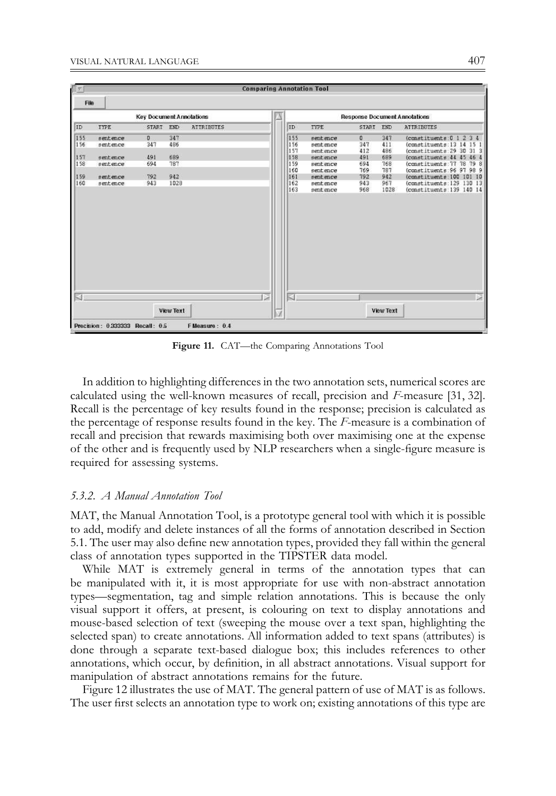<span id="page-33-0"></span>

| 國区           |                                 |                                 |           |                   | <b>Comparing Annotation Tool</b> |     |             |           |           |                                      |
|--------------|---------------------------------|---------------------------------|-----------|-------------------|----------------------------------|-----|-------------|-----------|-----------|--------------------------------------|
| File         |                                 |                                 |           |                   |                                  |     |             |           |           |                                      |
|              |                                 | <b>Key Document Annotations</b> |           |                   |                                  |     |             |           |           | <b>Response Document Annotations</b> |
| ID           | <b>TYPE</b>                     | <b>START</b>                    | END       | <b>ATTRIBUTES</b> |                                  | ID  | <b>TYPE</b> | START END |           | <b>ATTRIBUTES</b>                    |
| 155          | sentence                        | $\sigma$                        | 347       |                   |                                  | 155 | sent ence   | 0         | 347       | (constituents 0 1 2 3 4              |
| 156          | sentence                        | 347                             | 486       |                   |                                  | 156 | sent ence   | 347       | 411       | (constituents:13 14 15 1             |
|              |                                 |                                 |           |                   |                                  | 157 | sent ence   | 412       | 486       | (constituents: 29 30 31 3            |
| 157          | sentence                        | 491                             | 689       |                   |                                  | 158 | sentence    | 491       | 689       | (constituents 44 45 46 4             |
| 158          | sentence                        | 694                             | 787       |                   |                                  | 159 | sent ence   | 694       | 768       | (constituents: 77 78<br>79 8         |
|              |                                 |                                 |           |                   |                                  | 160 | sentence    | 769       | 787       | (constituents: 96 97 98 9            |
| 159          | sentence                        | 792                             | 942       |                   |                                  | 161 | sent ence   | 792       | 942       | (constituents 100 101 10             |
| 160          | sentence                        | 943                             | 1028      |                   |                                  | 162 | sent ence   | 943       | 967       | (constituents:129 130 13             |
|              |                                 |                                 |           |                   |                                  | 163 | sent ence   | 968       | 1028      | (constituents: 139 140 14            |
|              |                                 |                                 |           |                   |                                  |     |             |           |           |                                      |
| $\mathbb{N}$ |                                 |                                 |           |                   | s                                | ₫   |             |           |           | ×                                    |
|              |                                 |                                 | View Text |                   |                                  |     |             |           | View Text |                                      |
|              | Precision: 0.333333 Recall: 0.5 |                                 |           | F Measure: 0.4    |                                  |     |             |           |           |                                      |

**Figure 11.** CAT—the Comparing Annotations Tool

In addition to highlighting differences in the two annotation sets, numerical scores are calculated using the well-known measures of recall, precision and *F*-measure [\[31, 32\].](#page-37-0) Recall is the percentage of key results found in the response; precision is calculated as the percentage of response results found in the key. The *F*-measure is a combination of recall and precision that rewards maximising both over maximising one at the expense of the other and is frequently used by NLP researchers when a single-figure measure is required for assessing systems.

#### *5.3.2. A Manual Annotation Tool*

MAT, the Manual Annotation Tool, is a prototype general tool with which it is possible to add, modify and delete instances of all the forms of annotation described in Section 5.1. The user may also define new annotation types, provided they fall within the general class of annotation types supported in the TIPSTER data model.

While MAT is extremely general in terms of the annotation types that can be manipulated with it, it is most appropriate for use with non-abstract annotation types—segmentation, tag and simple relation annotations. This is because the only visual support it offers, at present, is colouring on text to display annotations and mouse-based selection of text (sweeping the mouse over a text span, highlighting the selected span) to create annotations. All information added to text spans (attributes) is done through a separate text-based dialogue box; this includes references to other annotations, which occur, by definition, in all abstract annotations. Visual support for manipulation of abstract annotations remains for the future.

Figure 12 illustrates the use of MAT. The general pattern of use of MAT is as follows. The user first selects an annotation type to work on; existing annotations of this type are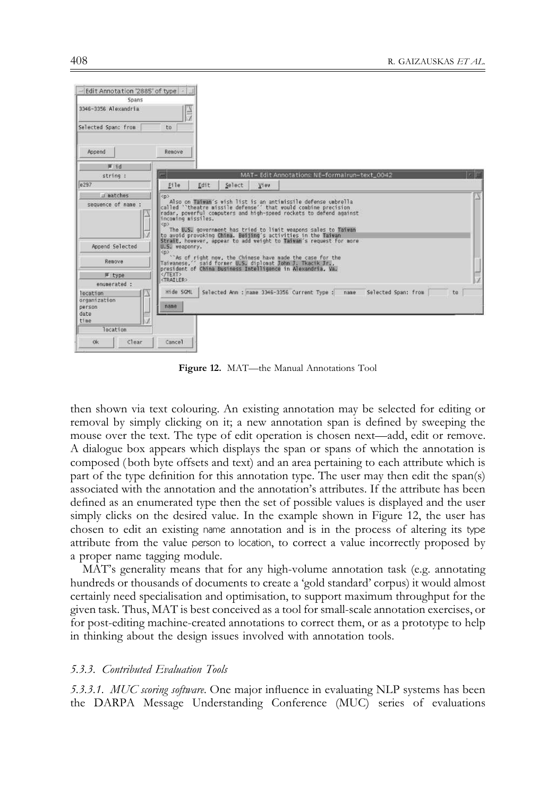<span id="page-34-0"></span>

**Figure 12.** MAT—the Manual Annotations Tool

then shown via text colouring. An existing annotation may be selected for editing or removal by simply clicking on it; a new annotation span is defined by sweeping the mouse over the text. The type of edit operation is chosen next—add, edit or remove. A dialogue box appears which displays the span or spans of which the annotation is composed (both byte offsets and text) and an area pertaining to each attribute which is part of the type definition for this annotation type. The user may then edit the span(s) associated with the annotation and the annotation's attributes. If the attribute has been defined as an enumerated type then the set of possible values is displayed and the user simply clicks on the desired value. In the example shown in [Figure 12,](#page-33-0) the user has chosen to edit an existing name annotation and is in the process of altering its type attribute from the value person to location, to correct a value incorrectly proposed by a proper name tagging module.

MAT's generality means that for any high-volume annotation task (e.g. annotating hundreds or thousands of documents to create a 'gold standard' corpus) it would almost certainly need specialisation and optimisation, to support maximum throughput for the given task. Thus, MAT is best conceived as a tool for small-scale annotation exercises, or for post-editing machine-created annotations to correct them, or as a prototype to help in thinking about the design issues involved with annotation tools.

#### *5.3.3. Contributed Evaluation Tools*

*5.3.3.1. MUC scoring software*. One major influence in evaluating NLP systems has been the DARPA Message Understanding Conference (MUC) series of evaluations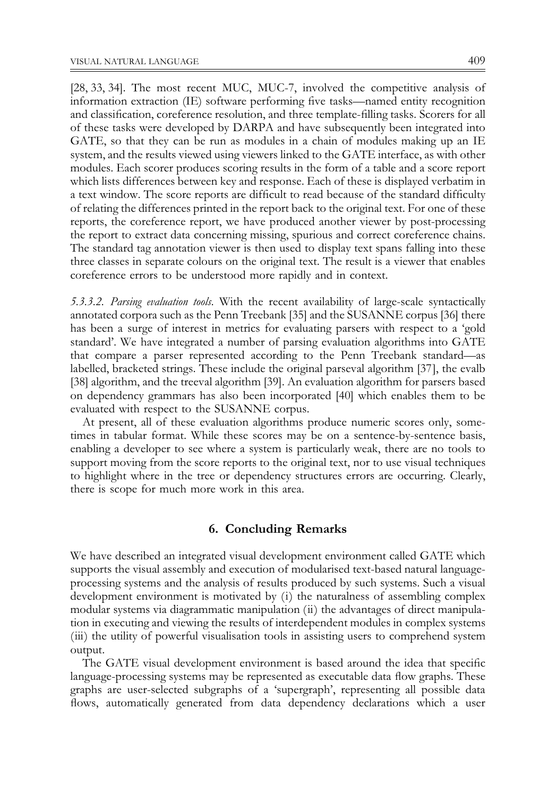<span id="page-35-0"></span>[\[28, 33, 34\].](#page-37-0) The most recent MUC, MUC-7, involved the competitive analysis of information extraction (IE) software performing five tasks—named entity recognition and classification, coreference resolution, and three template-filling tasks. Scorers for all of these tasks were developed by DARPA and have subsequently been integrated into GATE, so that they can be run as modules in a chain of modules making up an IE system, and the results viewed using viewers linked to the GATE interface, as with other modules. Each scorer produces scoring results in the form of a table and a score report which lists differences between key and response. Each of these is displayed verbatim in a text window. The score reports are difficult to read because of the standard difficulty of relating the differences printed in the report back to the original text. For one of these reports, the coreference report, we have produced another viewer by post-processing the report to extract data concerning missing, spurious and correct coreference chains. The standard tag annotation viewer is then used to display text spans falling into these three classes in separate colours on the original text. The result is a viewer that enables coreference errors to be understood more rapidly and in context.

*5.3.3.2. Parsing evaluation tools*. With the recent availability of large-scale syntactically annotated corpora such as the Penn Treebank [\[35\]](#page-37-0) and the SUSANNE corpus [\[36\]](#page-37-0) there has been a surge of interest in metrics for evaluating parsers with respect to a 'gold standard'. We have integrated a number of parsing evaluation algorithms into GATE that compare a parser represented according to the Penn Treebank standard—as labelled, bracketed strings. These include the original parseval algorithm [\[37\],](#page-37-0) the evalb [\[38\]](#page-37-0) algorithm, and the treeval algorithm [\[39\]](#page-37-0). An evaluation algorithm for parsers based on dependency grammars has also been incorporated [\[40\]](#page-37-0) which enables them to be evaluated with respect to the SUSANNE corpus.

At present, all of these evaluation algorithms produce numeric scores only, sometimes in tabular format. While these scores may be on a sentence-by-sentence basis, enabling a developer to see where a system is particularly weak, there are no tools to support moving from the score reports to the original text, nor to use visual techniques to highlight where in the tree or dependency structures errors are occurring. Clearly, there is scope for much more work in this area.

#### **6. Concluding Remarks**

We have described an integrated visual development environment called GATE which supports the visual assembly and execution of modularised text-based natural languageprocessing systems and the analysis of results produced by such systems. Such a visual development environment is motivated by (i) the naturalness of assembling complex modular systems via diagrammatic manipulation (ii) the advantages of direct manipulation in executing and viewing the results of interdependent modules in complex systems (iii) the utility of powerful visualisation tools in assisting users to comprehend system output.

The GATE visual development environment is based around the idea that specific language-processing systems may be represented as executable data flow graphs. These graphs are user-selected subgraphs of a 'supergraph', representing all possible data flows, automatically generated from data dependency declarations which a user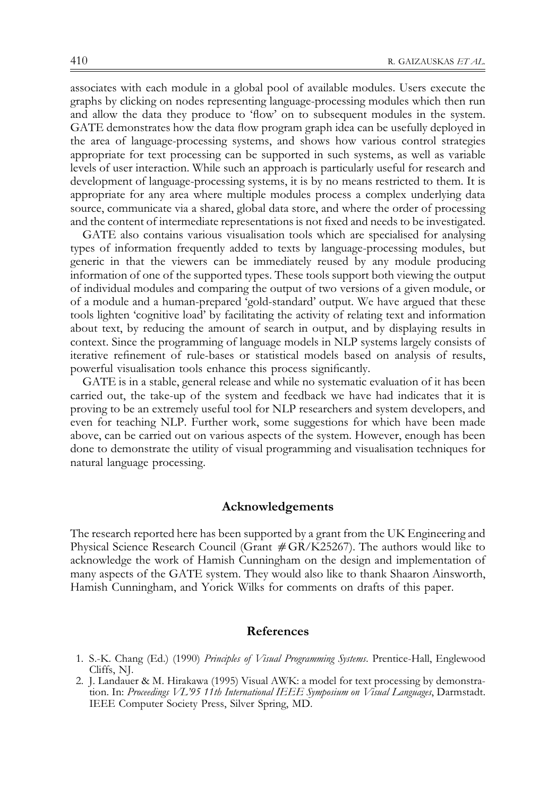<span id="page-36-0"></span>associates with each module in a global pool of available modules. Users execute the graphs by clicking on nodes representing language-processing modules which then run and allow the data they produce to 'flow' on to subsequent modules in the system. GATE demonstrates how the data flow program graph idea can be usefully deployed in the area of language-processing systems, and shows how various control strategies appropriate for text processing can be supported in such systems, as well as variable levels of user interaction. While such an approach is particularly useful for research and development of language-processing systems, it is by no means restricted to them. It is appropriate for any area where multiple modules process a complex underlying data source, communicate via a shared, global data store, and where the order of processing and the content of intermediate representations is not fixed and needs to be investigated.

GATE also contains various visualisation tools which are specialised for analysing types of information frequently added to texts by language-processing modules, but generic in that the viewers can be immediately reused by any module producing information of one of the supported types. These tools support both viewing the output of individual modules and comparing the output of two versions of a given module, or of a module and a human-prepared 'gold-standard' output. We have argued that these tools lighten 'cognitive load' by facilitating the activity of relating text and information about text, by reducing the amount of search in output, and by displaying results in context. Since the programming of language models in NLP systems largely consists of iterative refinement of rule-bases or statistical models based on analysis of results, powerful visualisation tools enhance this process significantly.

GATE is in a stable, general release and while no systematic evaluation of it has been carried out, the take-up of the system and feedback we have had indicates that it is proving to be an extremely useful tool for NLP researchers and system developers, and even for teaching NLP. Further work, some suggestions for which have been made above, can be carried out on various aspects of the system. However, enough has been done to demonstrate the utility of visual programming and visualisation techniques for natural language processing.

#### **Acknowledgements**

The research reported here has been supported by a grant from the UK Engineering and Physical Science Research Council (Grant  $\#GR/K25267$ ). The authors would like to acknowledge the work of Hamish Cunningham on the design and implementation of many aspects of the GATE system. They would also like to thank Shaaron Ainsworth, Hamish Cunningham, and Yorick Wilks for comments on drafts of this paper.

#### **References**

<sup>1.</sup> S.-K. Chang (Ed.) (1990) *Principles of Visual Programming Systems*. Prentice-Hall, Englewood Cliffs, NJ.

<sup>2.</sup> J. Landauer & M. Hirakawa (1995) Visual AWK: a model for text processing by demonstration. In: *Proceedings VL'95 11th International IEEE Symposium on Visual Languages*, Darmstadt. IEEE Computer Society Press, Silver Spring, MD.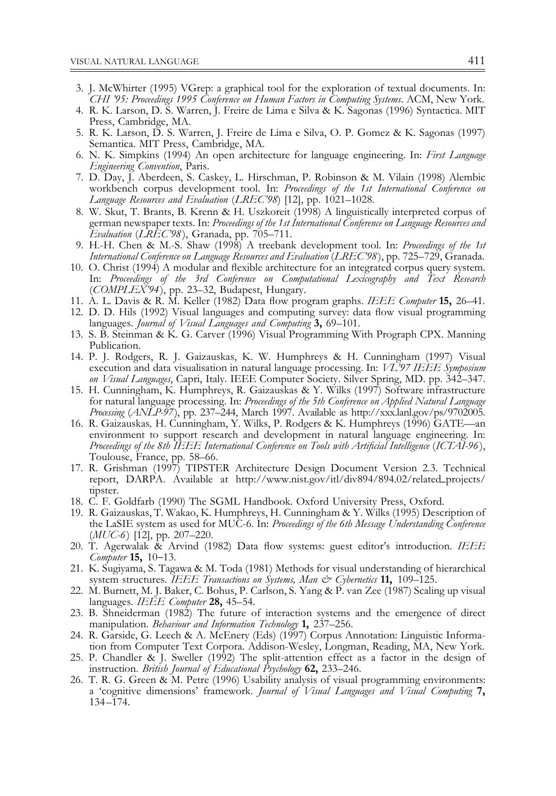- <span id="page-37-0"></span>3. J. McWhirter (1995) VGrep: a graphical tool for the exploration of textual documents. In: *CHI '95: Proceedings 1995 Conference on Human Factors in Computing Systems*. ACM, New York.
- 4. R. K. Larson, D. S. Warren, J. Freire de Lima e Silva & K. Sagonas (1996) Syntactica. MIT Press, Cambridge, MA.
- 5. R. K. Larson, D. S. Warren, J. Freire de Lima e Silva, O. P. Gomez & K. Sagonas (1997) Semantica. MIT Press, Cambridge, MA.
- 6. N. K. Simpkins (1994) An open architecture for language engineering. In: *First Language Engineering Convention*, Paris.
- 7. D. Day, J. Aberdeen, S. Caskey, L. Hirschman, P. Robinson & M. Vilain (1998) Alembic workbench corpus development tool. In: *Proceedings of the 1st International Conference on Language Resources and Evaluation* (*LREC'98*) [12], pp. 1021–1028.
- 8. W. Skut, T. Brants, B. Krenn & H. Uszkoreit (1998) A linguistically interpreted corpus of german newspaper texts. In: *Proceedings of the 1st International Conference on Language Resources and Evaluation* (*LREC'98*), Granada, pp. 705–711.
- 9. H.-H. Chen & M.-S. Shaw (1998) A treebank development tool. In: *Proceedings of the 1st International Conference on Language Resources and Evaluation* (*LREC'98*), pp. 725–729, Granada.
- 10. O. Christ (1994) A modular and flexible architecture for an integrated corpus query system. In: *Proceedings of the 3rd Conference on Computational Lexicography and Text Research* (*COMPLEX'94*), pp. 23–32, Budapest, Hungary.
- 11. A. L. Davis & R. M. Keller (1982) Data flow program graphs. *IEEE Computer* **15,** 26–41.
- 12. D. D. Hils (1992) Visual languages and computing survey: data flow visual programming languages. *Journal of Visual Languages and Computing* **3,** 69–101.
- 13. S. B. Steinman & K. G. Carver (1996) Visual Programming With Prograph CPX. Manning Publication.
- 14. P. J. Rodgers, R. J. Gaizauskas, K. W. Humphreys & H. Cunningham (1997) Visual execution and data visualisation in natural language processing. In: *VL'97 IEEE Symposium on Visual Languages*, Capri, Italy. IEEE Computer Society. Silver Spring, MD. pp. 342–347.
- 15. H. Cunningham, K. Humphreys, R. Gaizauskas & Y. Wilks (1997) Software infrastructure for natural language processing. In: *Proceedings of the 5th Conference on Applied Natural Language Processing* (*ANLP-97*), pp. 237–244, March 1997. Available as http://xxx.lanl.gov/ps/9702005.
- 16. R. Gaizauskas*,* H. Cunningham, Y. Wilks, P. Rodgers & K. Humphreys (1996) GATE—an environment to support research and development in natural language engineering. In: *Proceedings of the 8th IEEE International Conference on Tools with Artificial Intelligence* (*ICTAI-96*), Toulouse, France, pp. 58–66.
- 17. R. Grishman (1997) TIPSTER Architecture Design Document Version 2.3. Technical report, DARPA. Available at http://www.nist.gov/itl/div894/894.02/related\_projects/ tipster.
- 18. C. F. Goldfarb (1990) The SGML Handbook. Oxford University Press, Oxford.
- 19. R. Gaizauskas, T. Wakao, K. Humphreys, H. Cunningham & Y. Wilks (1995) Description of the LaSIE system as used for MUC-6. In: *Proceedings of the 6th Message Understanding Conference* (*MUC-6*) [12], pp. 207–220.
- 20. T. Agerwalak & Arvind (1982) Data flow systems: guest editor's introduction. *IEEE Computer* **15,** 10–13.
- 21. K. Sugiyama, S. Tagawa & M. Toda (1981) Methods for visual understanding of hierarchical system structures. *IEEE Transactions on Systems, Man & Cybernetics* **11,** 109–125.
- 22. M. Burnett, M. J. Baker, C. Bohus, P. Carlson, S. Yang & P. van Zee (1987) Scaling up visual languages. *IEEE Computer* **28,** 45–54.
- 23. B. Shneiderman (1982) The future of interaction systems and the emergence of direct manipulation. *Behaviour and Information Technology* **1,** 237–256.
- 24. R. Garside, G. Leech & A. McEnery (Eds) (1997) Corpus Annotation: Linguistic Information from Computer Text Corpora. Addison-Wesley, Longman, Reading, MA, New York.
- 25. P. Chandler & J. Sweller (1992) The split-attention effect as a factor in the design of instruction. *British Journal of Educational Psychology* **62,** 233–246.
- 26. T. R. G. Green & M. Petre (1996) Usability analysis of visual programming environments: a 'cognitive dimensions' framework. *Journal of Visual Languages and Visual Computing* **7,** 134–174.